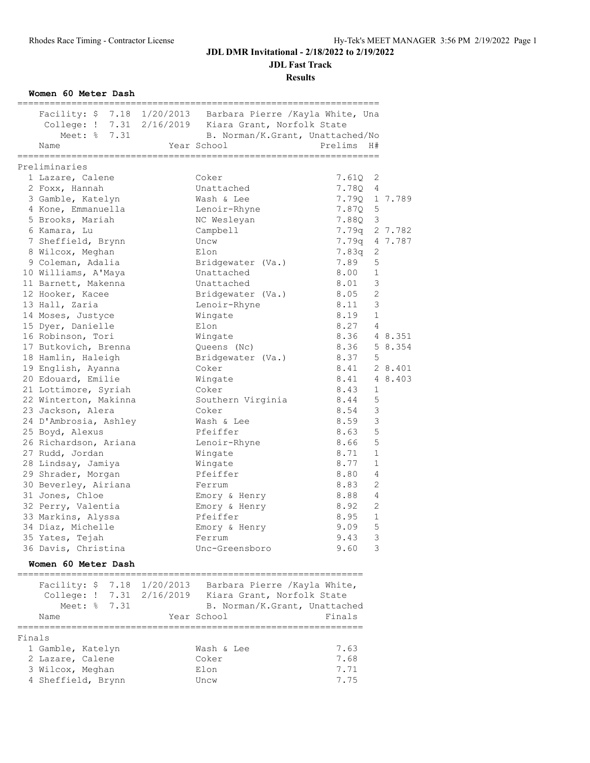**JDL Fast Track**

#### **Results**

**Women 60 Meter Dash**

|        | Meet: % 7.31          | Facility: \$ 7.18 1/20/2013 Barbara Pierre /Kayla White, Una<br>College: ! 7.31 2/16/2019 Kiara Grant, Norfolk State<br>B. Norman/K.Grant, Unattached/No |               |              |         |
|--------|-----------------------|----------------------------------------------------------------------------------------------------------------------------------------------------------|---------------|--------------|---------|
|        | Name                  | Year School                                                                                                                                              | Prelims       | H#           |         |
|        | ================      | ===================                                                                                                                                      |               |              |         |
|        | Preliminaries         |                                                                                                                                                          |               |              |         |
|        | 1 Lazare, Calene      | Coker                                                                                                                                                    | 7.61Q         | 2            |         |
|        | 2 Foxx, Hannah        | Unattached                                                                                                                                               | 7.78Q         | 4            |         |
|        | 3 Gamble, Katelyn     | Wash & Lee                                                                                                                                               | 7.790 1 7.789 |              |         |
|        | 4 Kone, Emmanuella    | Lenoir-Rhyne                                                                                                                                             | 7.87Q 5       |              |         |
|        | 5 Brooks, Mariah      | NC Wesleyan                                                                                                                                              | 7.88Q         | 3            |         |
|        | 6 Kamara, Lu          | Campbell                                                                                                                                                 | 7.79a         |              | 2 7.782 |
|        | 7 Sheffield, Brynn    | Uncw                                                                                                                                                     | 7.79q         |              | 4 7.787 |
|        | 8 Wilcox, Meghan      | Elon                                                                                                                                                     | 7.83q         | 2            |         |
|        | 9 Coleman, Adalia     | Bridgewater (Va.)                                                                                                                                        | 7.89          | 5            |         |
|        | 10 Williams, A'Maya   | Unattached                                                                                                                                               | 8.00          | $\mathbf{1}$ |         |
|        | 11 Barnett, Makenna   | Unattached                                                                                                                                               | 8.01          | 3            |         |
|        | 12 Hooker, Kacee      | Bridgewater (Va.)                                                                                                                                        | 8.05          | 2            |         |
|        | 13 Hall, Zaria        | Lenoir-Rhyne                                                                                                                                             | 8.11          | 3            |         |
|        | 14 Moses, Justyce     | Wingate                                                                                                                                                  | 8.19          | $\mathbf{1}$ |         |
|        | 15 Dyer, Danielle     | Elon                                                                                                                                                     | 8.27          | 4            |         |
|        | 16 Robinson, Tori     | Wingate                                                                                                                                                  | 8.36          |              | 4 8.351 |
|        | 17 Butkovich, Brenna  | Queens (Nc)                                                                                                                                              | 8.36          |              | 5 8.354 |
|        | 18 Hamlin, Haleigh    | Bridgewater (Va.)                                                                                                                                        | 8.37          | 5            |         |
|        | 19 English, Ayanna    | Coker                                                                                                                                                    | 8.41          |              | 2 8.401 |
|        | 20 Edouard, Emilie    | Wingate                                                                                                                                                  | 8.41          |              | 4 8.403 |
|        | 21 Lottimore, Syriah  | Coker                                                                                                                                                    | 8.43          | 1            |         |
|        | 22 Winterton, Makinna | Southern Virginia                                                                                                                                        | 8.44          | $\mathsf S$  |         |
|        | 23 Jackson, Alera     | Coker                                                                                                                                                    | 8.54          | 3            |         |
|        | 24 D'Ambrosia, Ashley | Wash & Lee                                                                                                                                               | 8.59          | 3            |         |
|        | 25 Boyd, Alexus       | Pfeiffer                                                                                                                                                 | 8.63          | 5            |         |
|        | 26 Richardson, Ariana | Lenoir-Rhyne                                                                                                                                             | 8.66          | 5            |         |
|        | 27 Rudd, Jordan       | Wingate                                                                                                                                                  | 8.71          | $\mathbf{1}$ |         |
|        | 28 Lindsay, Jamiya    | Wingate                                                                                                                                                  | 8.77          | $\mathbf{1}$ |         |
|        | 29 Shrader, Morgan    | Pfeiffer                                                                                                                                                 | 8.80          | 4            |         |
|        | 30 Beverley, Airiana  | Ferrum                                                                                                                                                   | 8.83          | 2            |         |
|        | 31 Jones, Chloe       | Emory & Henry                                                                                                                                            | 8.88          | 4            |         |
|        | 32 Perry, Valentia    | Emory & Henry                                                                                                                                            | 8.92          | 2            |         |
|        | 33 Markins, Alyssa    | Pfeiffer                                                                                                                                                 | 8.95          | $\mathbf 1$  |         |
|        | 34 Diaz, Michelle     | Emory & Henry                                                                                                                                            | 9.09          | 5            |         |
|        | 35 Yates, Tejah       | Ferrum                                                                                                                                                   | 9.43          | 3            |         |
|        | 36 Davis, Christina   | Unc-Greensboro                                                                                                                                           | 9.60          | 3            |         |
|        |                       |                                                                                                                                                          |               |              |         |
|        | Women 60 Meter Dash   |                                                                                                                                                          |               |              |         |
|        |                       | Facility: \$ 7.18 1/20/2013 Barbara Pierre /Kayla White,                                                                                                 |               |              |         |
|        |                       | College: ! 7.31 2/16/2019 Kiara Grant, Norfolk State                                                                                                     |               |              |         |
|        | Meet: % 7.31          | B. Norman/K.Grant, Unattached                                                                                                                            |               |              |         |
|        | Name                  | Year School                                                                                                                                              | Finals        |              |         |
|        |                       |                                                                                                                                                          |               |              |         |
| Finals |                       |                                                                                                                                                          |               |              |         |
|        | 1 Gamble, Katelyn     | Wash & Lee                                                                                                                                               | 7.63          |              |         |
|        | 2 Lazare, Calene      | Coker                                                                                                                                                    | 7.68          |              |         |

 3 Wilcox, Meghan Elon 7.71 4 Sheffield, Brynn Uncw 7.75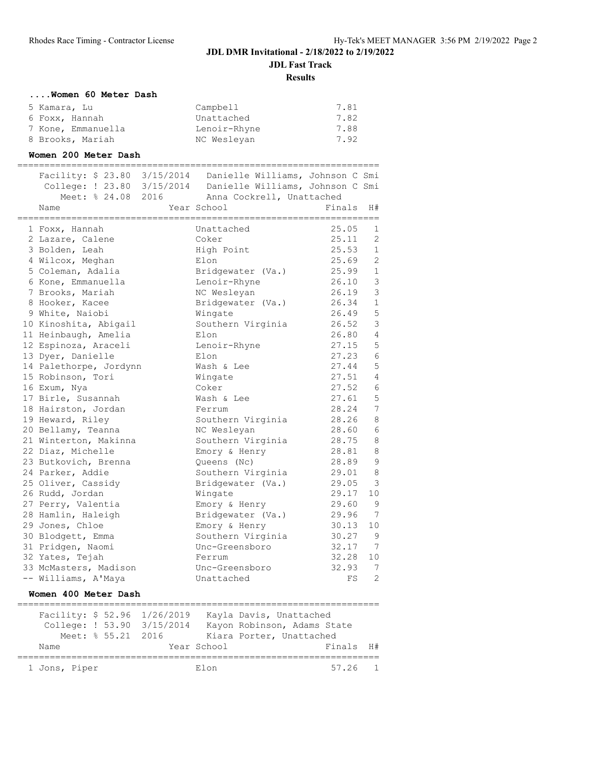**JDL Fast Track**

**Results**

| Women 60 Meter Dash |  |  |
|---------------------|--|--|
| E Vamara Tu         |  |  |

| 5 Kamara, Lu       | Campbell     | 7.81 |
|--------------------|--------------|------|
| 6 Foxx, Hannah     | Unattached   | 7.82 |
| 7 Kone, Emmanuella | Lenoir-Rhyne | 7.88 |
| 8 Brooks, Mariah   | NC Weslevan  | 7.92 |

#### **Women 200 Meter Dash**

|                        | Facility: \$ 23.80 3/15/2014  Danielle Williams, Johnson C Smi |        |                |
|------------------------|----------------------------------------------------------------|--------|----------------|
|                        | College: ! 23.80 3/15/2014  Danielle Williams, Johnson C Smi   |        |                |
|                        | Meet: % 24.08 2016 Anna Cockrell, Unattached                   |        |                |
| Name                   | Year School                                                    | Finals | H#             |
|                        |                                                                |        |                |
| 1 Foxx, Hannah         | Unattached                                                     | 25.05  | 1              |
| 2 Lazare, Calene       | Coker                                                          | 25.11  | 2              |
| 3 Bolden, Leah         | High Point                                                     | 25.53  | $\mathbf{1}$   |
| 4 Wilcox, Meghan       | Elon                                                           | 25.69  | $\overline{2}$ |
| 5 Coleman, Adalia      | Bridgewater (Va.)                                              | 25.99  | $\mathbf{1}$   |
| 6 Kone, Emmanuella     | Lenoir-Rhyne                                                   | 26.10  | 3              |
| 7 Brooks, Mariah       | NC Wesleyan                                                    | 26.19  | 3              |
| 8 Hooker, Kacee        | Bridgewater (Va.)                                              | 26.34  | $\mathbf{1}$   |
| 9 White, Naiobi        | Wingate                                                        | 26.49  | 5              |
| 10 Kinoshita, Abigail  | Southern Virginia                                              | 26.52  | 3              |
| 11 Heinbaugh, Amelia   | Elon                                                           | 26.80  | $\overline{4}$ |
| 12 Espinoza, Araceli   | Lenoir-Rhyne                                                   | 27.15  | 5              |
| 13 Dyer, Danielle      | Elon                                                           | 27.23  | 6              |
| 14 Palethorpe, Jordynn | Wash & Lee                                                     | 27.44  | 5              |
| 15 Robinson, Tori      | Wingate                                                        | 27.51  | 4              |
| 16 Exum, Nya           | Coker                                                          | 27.52  | 6              |
| 17 Birle, Susannah     | Wash & Lee                                                     | 27.61  | 5              |
| 18 Hairston, Jordan    | Ferrum                                                         | 28.24  | 7              |
| 19 Heward, Riley       | Southern Virginia                                              | 28.26  | 8              |
| 20 Bellamy, Teanna     | NC Wesleyan                                                    | 28.60  | 6              |
| 21 Winterton, Makinna  | Southern Virginia                                              | 28.75  | 8              |
| 22 Diaz, Michelle      | Emory & Henry                                                  | 28.81  | 8              |
| 23 Butkovich, Brenna   | Queens (Nc)                                                    | 28.89  | $\mathsf 9$    |
| 24 Parker, Addie       | Southern Virginia                                              | 29.01  | 8              |
| 25 Oliver, Cassidy     | Bridgewater (Va.)                                              | 29.05  | 3              |
| 26 Rudd, Jordan        | Wingate                                                        | 29.17  | 10             |
| 27 Perry, Valentia     | Emory & Henry                                                  | 29.60  | 9              |
| 28 Hamlin, Haleigh     | Bridgewater (Va.)                                              | 29.96  | 7              |
| 29 Jones, Chloe        | Emory & Henry                                                  | 30.13  | 10             |
| 30 Blodgett, Emma      | Southern Virginia                                              | 30.27  | 9              |
| 31 Pridgen, Naomi      | Unc-Greensboro                                                 | 32.17  | 7              |
| 32 Yates, Tejah        | Ferrum                                                         | 32.28  | 10             |
| 33 McMasters, Madison  | Unc-Greensboro                                                 | 32.93  | 7              |
| -- Williams, A'Maya    | Unattached                                                     | FS     | $\overline{2}$ |
|                        |                                                                |        |                |

#### **Women 400 Meter Dash**

|               |                    | Facility: \$ 52.96 1/26/2019 |             | Kayla Davis, Unattached     |           |  |
|---------------|--------------------|------------------------------|-------------|-----------------------------|-----------|--|
|               |                    | College: ! 53.90 3/15/2014   |             | Kayon Robinson, Adams State |           |  |
|               | Meet: % 55.21 2016 |                              |             | Kiara Porter, Unattached    |           |  |
| Name          |                    |                              | Year School |                             | Finals H# |  |
|               |                    |                              |             |                             |           |  |
| 1 Jons, Piper |                    |                              | El on       |                             | 57.26 1   |  |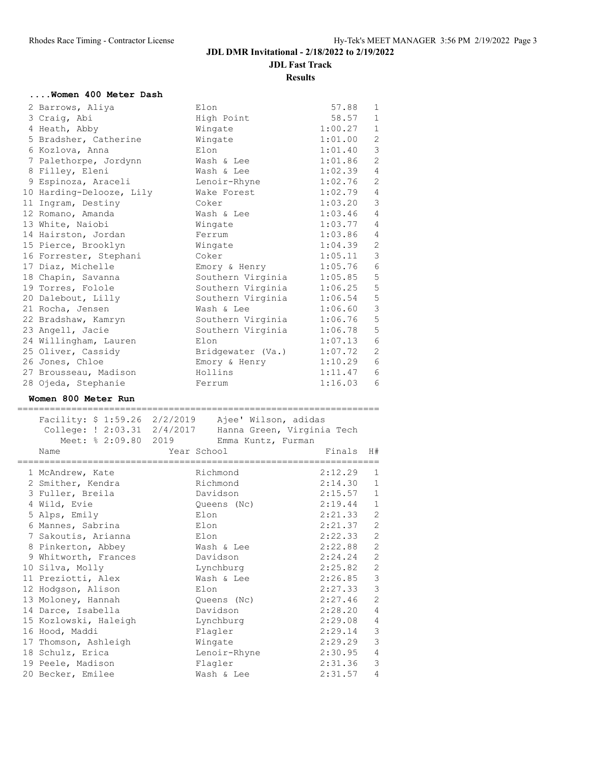# **Results**

#### **....Women 400 Meter Dash**

| 2 Barrows, Aliya         | Elon              | 57.88   | $\mathbf{1}$   |
|--------------------------|-------------------|---------|----------------|
| 3 Craig, Abi             | High Point        | 58.57   | $\mathbf{1}$   |
| 4 Heath, Abby            | Wingate           | 1:00.27 | $\mathbf{1}$   |
| 5 Bradsher, Catherine    | Wingate           | 1:01.00 | 2              |
| 6 Kozlova, Anna          | Elon              | 1:01.40 | 3              |
| 7 Palethorpe, Jordynn    | Wash & Lee        | 1:01.86 | 2              |
| 8 Filley, Eleni          | Wash & Lee        | 1:02.39 | $\overline{4}$ |
| 9 Espinoza, Araceli      | Lenoir-Rhyne      | 1:02.76 | 2              |
| 10 Harding-Delooze, Lily | Wake Forest       | 1:02.79 | $\overline{4}$ |
| 11 Ingram, Destiny       | Coker             | 1:03.20 | $\mathcal{S}$  |
| 12 Romano, Amanda        | Wash & Lee        | 1:03.46 | 4              |
| 13 White, Naiobi         | Wingate           | 1:03.77 | $\overline{4}$ |
| 14 Hairston, Jordan      | Ferrum            | 1:03.86 | 4              |
| 15 Pierce, Brooklyn      | Wingate           | 1:04.39 | 2              |
| 16 Forrester, Stephani   | Coker             | 1:05.11 | $\mathcal{S}$  |
| 17 Diaz, Michelle        | Emory & Henry     | 1:05.76 | 6              |
| 18 Chapin, Savanna       | Southern Virginia | 1:05.85 | $\mathsf S$    |
| 19 Torres, Folole        | Southern Virginia | 1:06.25 | $\mathsf S$    |
| 20 Dalebout, Lilly       | Southern Virginia | 1:06.54 | $\mathsf S$    |
| 21 Rocha, Jensen         | Wash & Lee        | 1:06.60 | $\mathsf 3$    |
| 22 Bradshaw, Kamryn      | Southern Virginia | 1:06.76 | $\mathsf S$    |
| 23 Angell, Jacie         | Southern Virginia | 1:06.78 | $\mathsf S$    |
| 24 Willingham, Lauren    | Elon              | 1:07.13 | $\epsilon$     |
| 25 Oliver, Cassidy       | Bridgewater (Va.) | 1:07.72 | $\overline{2}$ |
| 26 Jones, Chloe          | Emory & Henry     | 1:10.29 | $\epsilon$     |
| 27 Brousseau, Madison    | Hollins           | 1:11.47 | 6              |
| 28 Ojeda, Stephanie      | Ferrum            | 1:16.03 | 6              |

#### **Women 800 Meter Run**

=================================================================== Facility: \$ 1:59.26 2/2/2019 Ajee' Wilson, adidas College: ! 2:03.31 2/4/2017 Hanna Green, Virginia Tech Meet: % 2:09.80 2019 Emma Kuntz, Furman Name The Year School Contract Finals H# =================================================================== 1 McAndrew, Kate Richmond 2:12.29 1 2 Smither, Kendra Richmond 2:14.30 1 3 Fuller, Breila Davidson 2:15.57 1 4 Wild, Evie Queens (Nc) 2:19.44 1 5 Alps, Emily Elon 2:21.33 2 6 Mannes, Sabrina Elon 2:21.37 2 7 Sakoutis, Arianna Elon 2:22.33 2 8 Pinkerton, Abbey Wash & Lee 2:22.88 2 9 Whitworth, Frances Davidson 2:24.24 2 10 Silva, Molly Lynchburg 2:25.82 2 11 Preziotti, Alex Mash & Lee 2:26.85 3 12 Hodgson, Alison Elon 2:27.33 3 13 Moloney, Hannah Queens (Nc) 2:27.46 2 14 Darce, Isabella Davidson 2:28.20 4 15 Kozlowski, Haleigh Lynchburg 2:29.08 4 16 Hood, Maddi Flagler 2:29.14 3 17 Thomson, Ashleigh Wingate 2:29.29 3 18 Schulz, Erica Lenoir-Rhyne 2:30.95 4 19 Peele, Madison Flagler 2:31.36 3 20 Becker, Emilee Wash & Lee 2:31.57 4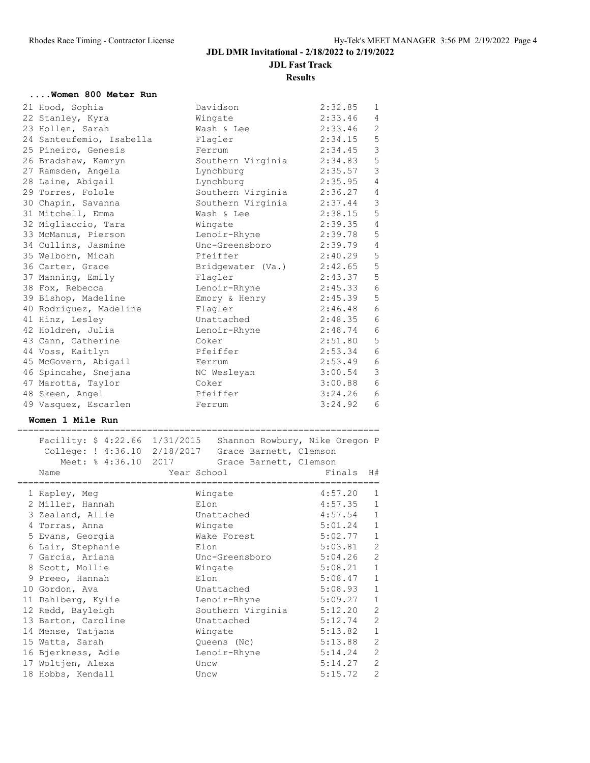#### **Results**

# **....Women 800 Meter Run**

| 21 Hood, Sophia          | Davidson          | 2:32.85 | $\mathbf{1}$    |
|--------------------------|-------------------|---------|-----------------|
| 22 Stanley, Kyra         | Wingate           | 2:33.46 | 4               |
| 23 Hollen, Sarah         | Wash & Lee        | 2:33.46 | $\mathbf{2}$    |
| 24 Santeufemio, Isabella | Flaqler           | 2:34.15 | $\mathbf 5$     |
| 25 Pineiro, Genesis      | Ferrum            | 2:34.45 | $\mathfrak{Z}$  |
| 26 Bradshaw, Kamryn      | Southern Virginia | 2:34.83 | $\overline{5}$  |
| 27 Ramsden, Angela       | Lynchburg         | 2:35.57 | $\mathfrak{Z}$  |
| 28 Laine, Abigail        | Lynchburg         | 2:35.95 | $\overline{4}$  |
| 29 Torres, Folole        | Southern Virginia | 2:36.27 | $\overline{4}$  |
| 30 Chapin, Savanna       | Southern Virginia | 2:37.44 | $\mathcal{E}$   |
| 31 Mitchell, Emma        | Wash & Lee        | 2:38.15 | 5               |
| 32 Migliaccio, Tara      | Wingate           | 2:39.35 | $\overline{4}$  |
| 33 McManus, Pierson      | Lenoir-Rhyne      | 2:39.78 | 5               |
| 34 Cullins, Jasmine      | Unc-Greensboro    | 2:39.79 | $\overline{4}$  |
| 35 Welborn, Micah        | Pfeiffer          | 2:40.29 | 5               |
| 36 Carter, Grace         | Bridgewater (Va.) | 2:42.65 | 5               |
| 37 Manning, Emily        | Flagler           | 2:43.37 | 5               |
| 38 Fox, Rebecca          | Lenoir-Rhyne      | 2:45.33 | $\sqrt{6}$      |
| 39 Bishop, Madeline      | Emory & Henry     | 2:45.39 | $5\phantom{.0}$ |
| 40 Rodriguez, Madeline   | Flagler           | 2:46.48 | $\epsilon$      |
| 41 Hinz, Lesley          | Unattached        | 2:48.35 | $\epsilon$      |
| 42 Holdren, Julia        | Lenoir-Rhyne      | 2:48.74 | $\sqrt{6}$      |
| 43 Cann, Catherine       | Coker             | 2:51.80 | 5               |
| 44 Voss, Kaitlyn         | Pfeiffer          | 2:53.34 | $\epsilon$      |
| 45 McGovern, Abigail     | Ferrum            | 2:53.49 | $\sqrt{6}$      |
| 46 Spincahe, Snejana     | NC Wesleyan       | 3:00.54 | $\mathfrak{Z}$  |
| 47 Marotta, Taylor       | Coker             | 3:00.88 | $\epsilon$      |
| 48 Skeen, Angel          | Pfeiffer          | 3:24.26 | $\epsilon$      |
| 49 Vasquez, Escarlen     | Ferrum            | 3:24.92 | 6               |

#### **Women 1 Mile Run**

| Facility: $$4:22.66$ $1/31/2015$<br>College: ! 4:36.10 2/18/2017 Grace Barnett, Clemson |             | Shannon Rowbury, Nike Oregon P<br>Meet: % 4:36.10 2017 Grace Barnett, Clemson |         |                |
|-----------------------------------------------------------------------------------------|-------------|-------------------------------------------------------------------------------|---------|----------------|
| Name                                                                                    | Year School |                                                                               | Finals  | H#             |
| 1 Rapley, Meg                                                                           |             | Wingate                                                                       | 4:57.20 | $\mathbf{1}$   |
| 2 Miller, Hannah                                                                        |             | Elon                                                                          | 4:57.35 | $\mathbf{1}$   |
| 3 Zealand, Allie                                                                        |             | Unattached                                                                    | 4:57.54 | $\mathbf{1}$   |
| 4 Torras, Anna                                                                          |             | Wingate                                                                       | 5:01.24 | $\mathbf{1}$   |
| 5 Evans, Georgia                                                                        |             | Wake Forest                                                                   | 5:02.77 | $\mathbf{1}$   |
| 6 Lair, Stephanie                                                                       |             | Elon                                                                          | 5:03.81 | 2              |
| 7 Garcia, Ariana                                                                        |             | Unc-Greensboro                                                                | 5:04.26 | $\overline{2}$ |
| 8 Scott, Mollie                                                                         |             | Wingate                                                                       | 5:08.21 | $\mathbf{1}$   |
| 9 Preeo, Hannah                                                                         |             | Elon                                                                          | 5:08.47 | $\mathbf{1}$   |
| 10 Gordon, Ava                                                                          |             | Unattached                                                                    | 5:08.93 | $\mathbf{1}$   |
| 11 Dahlberg, Kylie                                                                      |             | Lenoir-Rhyne                                                                  | 5:09.27 | $\mathbf{1}$   |
| 12 Redd, Bayleigh                                                                       |             | Southern Virginia 5:12.20                                                     |         | $\overline{2}$ |
| 13 Barton, Caroline                                                                     |             | Unattached                                                                    | 5:12.74 | 2              |
| 14 Mense, Tatjana                                                                       |             | Wingate                                                                       | 5:13.82 | $\mathbf{1}$   |
| 15 Watts, Sarah                                                                         |             | Queens (Nc)                                                                   | 5:13.88 | 2              |
| 16 Bjerkness, Adie                                                                      |             | Lenoir-Rhyne                                                                  | 5:14.24 | $\overline{2}$ |
| 17 Woltjen, Alexa                                                                       |             | Uncw                                                                          | 5:14.27 | $\overline{2}$ |
| 18 Hobbs, Kendall                                                                       |             | Uncw                                                                          | 5:15.72 | $\overline{2}$ |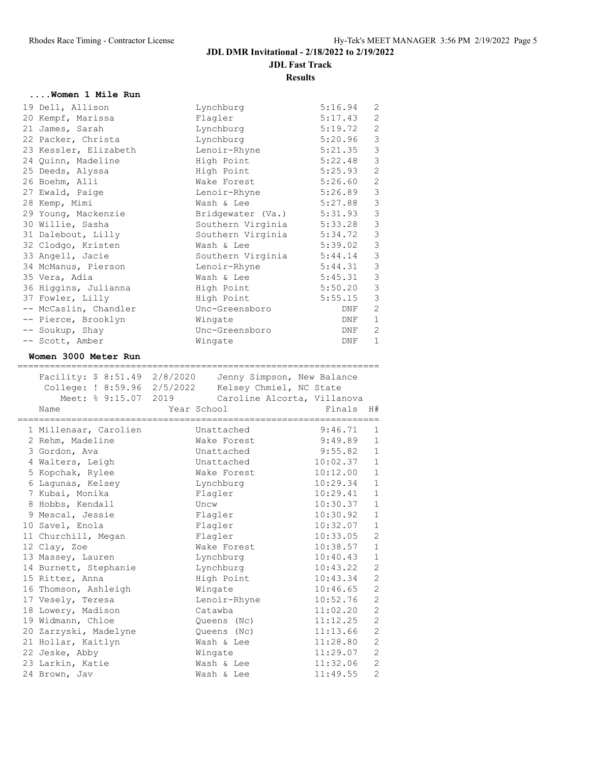**Results**

## **....Women 1 Mile Run**

| 19 Dell, Allison      | Lynchburg         | 5:16.94 | 2              |
|-----------------------|-------------------|---------|----------------|
| 20 Kempf, Marissa     | Flagler           | 5:17.43 | $\mathbf{2}$   |
| 21 James, Sarah       | Lynchburg         | 5:19.72 | $\sqrt{2}$     |
| 22 Packer, Christa    | Lynchburg         | 5:20.96 | $\mathcal{S}$  |
| 23 Kessler, Elizabeth | Lenoir-Rhyne      | 5:21.35 | $\mathcal{S}$  |
| 24 Quinn, Madeline    | High Point        | 5:22.48 | $\mathfrak{Z}$ |
| 25 Deeds, Alyssa      | High Point        | 5:25.93 | $\sqrt{2}$     |
| 26 Boehm, Alli        | Wake Forest       | 5:26.60 | $\mathbf{2}$   |
| 27 Ewald, Paige       | Lenoir-Rhyne      | 5:26.89 | $\mathcal{S}$  |
| 28 Kemp, Mimi         | Wash & Lee        | 5:27.88 | $\mathfrak{Z}$ |
| 29 Young, Mackenzie   | Bridgewater (Va.) | 5:31.93 | $\mathfrak{Z}$ |
| 30 Willie, Sasha      | Southern Virginia | 5:33.28 | $\mathfrak{Z}$ |
| 31 Dalebout, Lilly    | Southern Virginia | 5:34.72 | $\mathcal{S}$  |
| 32 Clodgo, Kristen    | Wash & Lee        | 5:39.02 | $\mathfrak{Z}$ |
| 33 Angell, Jacie      | Southern Virginia | 5:44.14 | $\mathsf 3$    |
| 34 McManus, Pierson   | Lenoir-Rhyne      | 5:44.31 | $\mathsf 3$    |
| 35 Vera, Adia         | Wash & Lee        | 5:45.31 | $\mathsf 3$    |
| 36 Higgins, Julianna  | High Point        | 5:50.20 | $\mathsf 3$    |
| 37 Fowler, Lilly      | High Point        | 5:55.15 | 3              |
| -- McCaslin, Chandler | Unc-Greensboro    | DNF     | 2              |
| -- Pierce, Brooklyn   | Wingate           | DNF     | $\mathbf{1}$   |
| -- Soukup, Shay       | Unc-Greensboro    | DNF     | 2              |
| -- Scott, Amber       | Wingate           | DNF     | $\mathbf{1}$   |

## **Women 3000 Meter Run**

| ==================================<br>Facility: \$ 8:51.49 2/8/2020 Jenny Simpson, New Balance<br>College: ! 8:59.96 2/5/2022 Kelsey Chmiel, NC State<br>Meet: % 9:15.07 2019 Caroline Alcorta, Villanova |             |              | ,_____________________ |                |
|-----------------------------------------------------------------------------------------------------------------------------------------------------------------------------------------------------------|-------------|--------------|------------------------|----------------|
| Name                                                                                                                                                                                                      | Year School |              | Finals                 | H#             |
| 1 Millenaar, Carolien                                                                                                                                                                                     |             | Unattached   | 9:46.71                | $\mathbf{1}$   |
| 2 Rehm, Madeline                                                                                                                                                                                          |             | Wake Forest  | 9:49.89                | $\mathbf{1}$   |
| 3 Gordon, Ava                                                                                                                                                                                             |             | Unattached   | 9:55.82                | $\mathbf{1}$   |
| 4 Walters, Leigh                                                                                                                                                                                          |             | Unattached   | 10:02.37               | $\mathbf{1}$   |
| 5 Kopchak, Rylee                                                                                                                                                                                          |             | Wake Forest  | 10:12.00               | $\mathbf{1}$   |
| 6 Laqunas, Kelsey                                                                                                                                                                                         | Lynchburg   |              | 10:29.34               | $\mathbf{1}$   |
| 7 Kubai, Monika                                                                                                                                                                                           | Flagler     |              | 10:29.41               | $\mathbf{1}$   |
| 8 Hobbs, Kendall                                                                                                                                                                                          | Uncw        |              | 10:30.37               | $\mathbf{1}$   |
| 9 Mescal, Jessie                                                                                                                                                                                          | Flaqler     |              | 10:30.92               | $\mathbf{1}$   |
| 10 Savel, Enola                                                                                                                                                                                           | Flaqler     |              | 10:32.07               | $\mathbf{1}$   |
| 11 Churchill, Megan                                                                                                                                                                                       | Flagler     |              | 10:33.05               | 2              |
| 12 Clay, Zoe                                                                                                                                                                                              |             | Wake Forest  | 10:38.57               | $\mathbf{1}$   |
| 13 Massey, Lauren                                                                                                                                                                                         |             | Lynchburg    | 10:40.43               | $\mathbf{1}$   |
| 14 Burnett, Stephanie                                                                                                                                                                                     |             | Lynchburg    | 10:43.22               | $\mathbf{2}$   |
| 15 Ritter, Anna                                                                                                                                                                                           |             | High Point   | 10:43.34               | 2              |
| 16 Thomson, Ashleigh                                                                                                                                                                                      |             | Wingate      | 10:46.65               | $\mathbf{2}$   |
| 17 Vesely, Teresa                                                                                                                                                                                         |             | Lenoir-Rhyne | 10:52.76               | $\overline{c}$ |
| 18 Lowery, Madison                                                                                                                                                                                        |             | Catawba      | 11:02.20               | $\mathbf{2}$   |
| 19 Widmann, Chloe                                                                                                                                                                                         |             | Queens (Nc)  | 11:12.25               | $\mathbf{2}$   |
| 20 Zarzyski, Madelyne                                                                                                                                                                                     |             | Queens (Nc)  | 11:13.66               | $\mathbf{2}$   |
| 21 Hollar, Kaitlyn                                                                                                                                                                                        |             | Wash & Lee   | 11:28.80               | $\overline{c}$ |
| 22 Jeske, Abby                                                                                                                                                                                            |             | Wingate      | 11:29.07               | $\overline{c}$ |
| 23 Larkin, Katie                                                                                                                                                                                          |             | Wash & Lee   | 11:32.06               | $\mathbf{2}$   |
| 24 Brown, Jav                                                                                                                                                                                             |             | Wash & Lee   | 11:49.55               | $\overline{2}$ |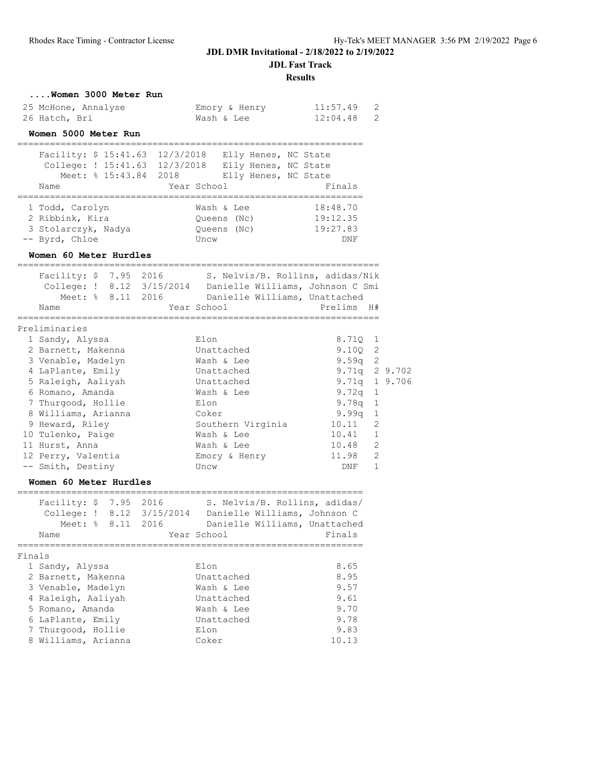**JDL Fast Track**

**Results**

|        | Women 3000 Meter Run<br>25 McHone, Annalyse<br>26 Hatch, Bri<br>Women 5000 Meter Run<br>===============================                                                                                                                                                                                                 | Emory & Henry<br>Wash & Lee                                                                                                                                                             | 11:57.49<br>2<br>12:04.48<br>2                                                                                                                                                                             |  |
|--------|-------------------------------------------------------------------------------------------------------------------------------------------------------------------------------------------------------------------------------------------------------------------------------------------------------------------------|-----------------------------------------------------------------------------------------------------------------------------------------------------------------------------------------|------------------------------------------------------------------------------------------------------------------------------------------------------------------------------------------------------------|--|
|        | Facility: $$15:41.63$ $12/3/2018$<br>Meet: % 15:43.84 2018<br>Name                                                                                                                                                                                                                                                      | Elly Henes, NC State<br>College: ! 15:41.63 12/3/2018 Elly Henes, NC State<br>Elly Henes, NC State<br>Year School                                                                       | Finals                                                                                                                                                                                                     |  |
|        | 1 Todd, Carolyn<br>2 Ribbink, Kira<br>3 Stolarczyk, Nadya<br>-- Byrd, Chloe<br>Women 60 Meter Hurdles                                                                                                                                                                                                                   | Wash & Lee<br>Queens (Nc)<br>Queens (Nc)<br>Uncw                                                                                                                                        | 18:48.70<br>19:12.35<br>19:27.83<br>DNF                                                                                                                                                                    |  |
|        | Name                                                                                                                                                                                                                                                                                                                    | Facility: \$ 7.95 2016 S. Nelvis/B. Rollins, adidas/Nik<br>College: ! 8.12 3/15/2014 Danielle Williams, Johnson C Smi<br>Meet: % 8.11 2016 Danielle Williams, Unattached<br>Year School | Prelims<br>H#                                                                                                                                                                                              |  |
|        | Preliminaries<br>1 Sandy, Alyssa<br>2 Barnett, Makenna<br>3 Venable, Madelyn<br>4 LaPlante, Emily<br>5 Raleigh, Aaliyah<br>6 Romano, Amanda<br>7 Thurgood, Hollie<br>8 Williams, Arianna<br>9 Heward, Riley<br>10 Tulenko, Paige<br>11 Hurst, Anna<br>12 Perry, Valentia<br>-- Smith, Destiny<br>Women 60 Meter Hurdles | Elon<br>Unattached<br>Wash & Lee<br>Unattached<br>Unattached<br>Wash & Lee<br>Elon<br>Coker<br>Southern Virginia<br>Wash & Lee<br>Wash & Lee<br>Emory & Henry<br>Uncw                   | 8.71Q<br>1<br>9.10Q<br>2<br>9.59q<br>2<br>9.71q 2 9.702<br>9.71q 1 9.706<br>9.72q<br>1<br>9.78q<br>1<br>$\mathbf 1$<br>9.99q<br>2<br>10.11<br>$\mathbf 1$<br>10.41<br>2<br>10.48<br>2<br>11.98<br>1<br>DNF |  |
| Finals | Facility: \$ 7.95 2016<br>College: ! 8.12<br>Meet: % 8.11<br>2016<br>Name<br>1 Sandy, Alyssa<br>2 Barnett, Makenna                                                                                                                                                                                                      | S. Nelvis/B. Rollins, adidas/<br>3/15/2014<br>Danielle Williams, Johnson C<br>Danielle Williams, Unattached<br>Year School<br>Elon<br>Unattached                                        | Finals<br>8.65<br>8.95                                                                                                                                                                                     |  |
|        | 3 Venable, Madelyn<br>4 Raleigh, Aaliyah<br>5 Romano, Amanda<br>6 LaPlante, Emily<br>7 Thurgood, Hollie<br>8 Williams, Arianna                                                                                                                                                                                          | Wash & Lee<br>Unattached<br>Wash & Lee<br>Unattached<br>Elon<br>Coker                                                                                                                   | 9.57<br>9.61<br>9.70<br>9.78<br>9.83<br>10.13                                                                                                                                                              |  |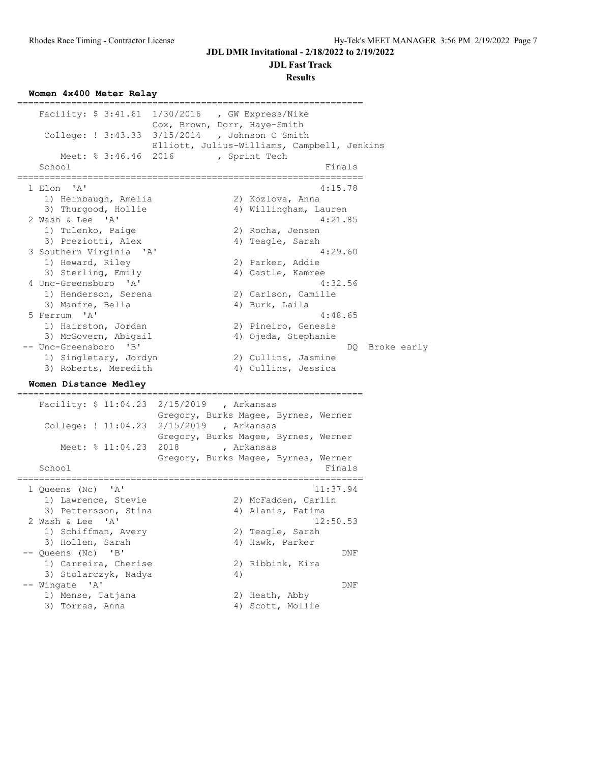## **JDL Fast Track**

**Results**

# **Women 4x400 Meter Relay**

| Meet: % 3:46.46 2016<br>School<br>1 Elon 'A'<br>1) Heinbaugh, Amelia<br>3) Thurgood, Hollie<br>2 Wash & Lee 'A'<br>1) Tulenko, Paige<br>3) Preziotti, Alex<br>3 Southern Virginia 'A'<br>1) Heward, Riley<br>3) Sterling, Emily<br>4 Unc-Greensboro 'A'<br>1) Henderson, Serena<br>3) Manfre, Bella<br>5 Ferrum 'A'<br>1) Hairston, Jordan<br>3) McGovern, Abigail<br>-- Unc-Greensboro 'B'<br>1) Singletary, Jordyn<br>3) Roberts, Meredith<br>Women Distance Medley | Facility: \$ 3:41.61 1/30/2016 , GW Express/Nike<br>Cox, Brown, Dorr, Haye-Smith<br>College: ! 3:43.33 3/15/2014 , Johnson C Smith<br>Elliott, Julius-Williams, Campbell, Jenkins<br>, Sprint Tech<br>Finals<br>_________________<br>4:15.78<br>2) Kozlova, Anna<br>4) Willingham, Lauren<br>4:21.85<br>2) Rocha, Jensen<br>4) Teagle, Sarah<br>4:29.60<br>2) Parker, Addie<br>4) Castle, Kamree<br>4:32.56<br>2) Carlson, Camille<br>4) Burk, Laila<br>4:48.65<br>2) Pineiro, Genesis<br>4) Ojeda, Stephanie<br>Broke early<br>DQ.<br>2) Cullins, Jasmine<br>4) Cullins, Jessica |
|-----------------------------------------------------------------------------------------------------------------------------------------------------------------------------------------------------------------------------------------------------------------------------------------------------------------------------------------------------------------------------------------------------------------------------------------------------------------------|-----------------------------------------------------------------------------------------------------------------------------------------------------------------------------------------------------------------------------------------------------------------------------------------------------------------------------------------------------------------------------------------------------------------------------------------------------------------------------------------------------------------------------------------------------------------------------------|
| College: ! 11:04.23<br>Meet: % 11:04.23 2018<br>School                                                                                                                                                                                                                                                                                                                                                                                                                | -----------------<br>Facility: \$ 11:04.23 2/15/2019 , Arkansas<br>Gregory, Burks Magee, Byrnes, Werner<br>2/15/2019 , Arkansas<br>Gregory, Burks Magee, Byrnes, Werner<br>, Arkansas<br>Gregory, Burks Magee, Byrnes, Werner<br>Finals                                                                                                                                                                                                                                                                                                                                           |
| 1 Queens (Nc) 'A'<br>1) Lawrence, Stevie<br>3) Pettersson, Stina<br>2 Wash & Lee 'A'<br>1) Schiffman, Avery<br>3) Hollen, Sarah<br>"B"<br>-- Queens (Nc)<br>1) Carreira, Cherise<br>3) Stolarczyk, Nadya<br>-- Wingate 'A'<br>1) Mense, Tatjana<br>3) Torras, Anna                                                                                                                                                                                                    | 11:37.94<br>2) McFadden, Carlin<br>4) Alanis, Fatima<br>12:50.53<br>2) Teagle, Sarah<br>4) Hawk, Parker<br>DNF<br>2) Ribbink, Kira<br>4)<br>DNF<br>2) Heath, Abby<br>4) Scott, Mollie                                                                                                                                                                                                                                                                                                                                                                                             |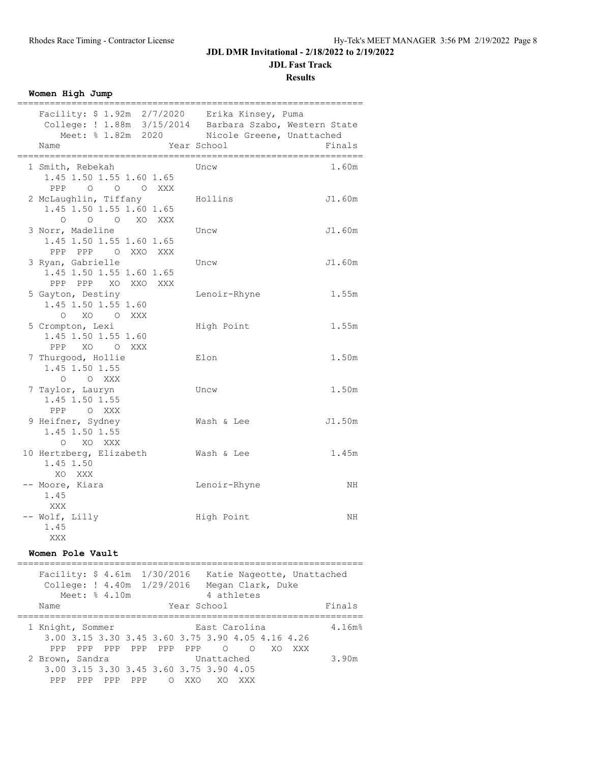## **JDL Fast Track**

**Results**

## **Women High Jump**

| ===========                                                                                                                                                        | ========     |        |
|--------------------------------------------------------------------------------------------------------------------------------------------------------------------|--------------|--------|
| Facility: \$ 1.92m 2/7/2020 Erika Kinsey, Puma<br>College: ! 1.88m 3/15/2014  Barbara Szabo, Western State<br>Meet: % 1.82m 2020 Nicole Greene, Unattached<br>Name | Year School  | Finals |
| =======                                                                                                                                                            |              |        |
| 1 Smith, Rebekah<br>1.45 1.50 1.55 1.60 1.65<br>PPP 0 0 0 XXX                                                                                                      | Uncw         | 1.60m  |
| 2 McLaughlin, Tiffany<br>1.45 1.50 1.55 1.60 1.65<br>O O XO XXX<br>$\Omega$                                                                                        | Hollins      | J1.60m |
| 3 Norr, Madeline<br>1.45 1.50 1.55 1.60 1.65<br>PPP PPP O XXO XXX                                                                                                  | Uncw         | J1.60m |
| 3 Ryan, Gabrielle<br>1.45 1.50 1.55 1.60 1.65<br>PPP PPP XO XXO XXX                                                                                                | Uncw         | J1.60m |
| 5 Gayton, Destiny<br>1.45 1.50 1.55 1.60<br>$\Omega$<br>XOOXXX                                                                                                     | Lenoir-Rhyne | 1.55m  |
| 5 Crompton, Lexi<br>1.45 1.50 1.55 1.60<br>PPP XO OXXX                                                                                                             | High Point   | 1.55m  |
| 7 Thurgood, Hollie<br>1.45 1.50 1.55<br>$\circ$<br>O XXX                                                                                                           | Elon         | 1.50m  |
| 7 Taylor, Lauryn<br>1.45 1.50 1.55<br>PPP O XXX                                                                                                                    | Uncw         | 1.50m  |
| 9 Heifner, Sydney<br>1.45 1.50 1.55<br>$\circ$<br>XO XXX                                                                                                           | Wash & Lee   | J1.50m |
| 10 Hertzberg, Elizabeth<br>1.45 1.50<br>XO XXX                                                                                                                     | Wash & Lee   | 1.45m  |
| -- Moore, Kiara<br>1.45<br>XXX                                                                                                                                     | Lenoir-Rhyne | NH     |
| -- Wolf, Lilly<br>1.45<br>XXX                                                                                                                                      | High Point   | ΝH     |

## **Women Pole Vault**

| Facility: \$ 4.61m 1/30/2016<br>College: ! 4.40m 1/29/2016<br>Meet: % 4.10m |   | 4 athletes                | Katie Nageotte, Unattached<br>Megan Clark, Duke |        |
|-----------------------------------------------------------------------------|---|---------------------------|-------------------------------------------------|--------|
| Name                                                                        |   | Year School               |                                                 | Finals |
|                                                                             |   |                           |                                                 |        |
| 1 Knight, Sommer                                                            |   | East Carolina             |                                                 | 4.16m% |
| 3.00 3.15 3.30 3.45 3.60 3.75 3.90 4.05 4.16 4.26                           |   |                           |                                                 |        |
| PPP PPP PPP<br>PPP                                                          |   | $\overline{O}$<br>PPP PPP | $\bigcirc$<br>XO.<br><b>XXX</b>                 |        |
| 2 Brown, Sandra                                                             |   | Unattached                |                                                 | 3.90m  |
| 3.00 3.15 3.30 3.45 3.60 3.75 3.90 4.05<br>PPP<br>PPP PPP PPP               | ∩ | XO.<br>XXO                | XXX                                             |        |
|                                                                             |   |                           |                                                 |        |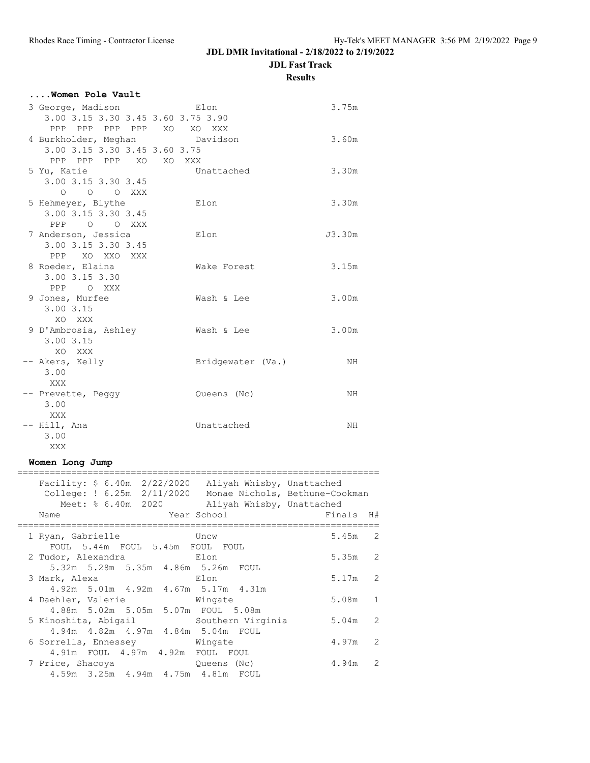**....Women Pole Vault**

## **JDL DMR Invitational - 2/18/2022 to 2/19/2022**

**JDL Fast Track**

**Results**

| 3 George, Madison                                         | Elon                 | 3.75m                            |
|-----------------------------------------------------------|----------------------|----------------------------------|
| 3.00 3.15 3.30 3.45 3.60 3.75 3.90                        |                      |                                  |
| PPP PPP PPP PPP XO XO XXX                                 |                      |                                  |
| 4 Burkholder, Meghan bavidson                             |                      | 3.60m                            |
| 3.00 3.15 3.30 3.45 3.60 3.75                             |                      |                                  |
| PPP PPP PPP XO XO XXX                                     |                      |                                  |
| 5 Yu, Katie                                               | Unattached           | 3.30m                            |
| 3.00 3.15 3.30 3.45                                       |                      |                                  |
| O O O XXX                                                 |                      |                                  |
| 5 Hehmeyer, Blythe                                        | Elon                 | 3.30m                            |
| 3.00 3.15 3.30 3.45                                       |                      |                                  |
|                                                           |                      |                                  |
| PPP 0 0 XXX                                               |                      |                                  |
| 7 Anderson, Jessica                                       | Elon                 | J3.30m                           |
| 3.00 3.15 3.30 3.45                                       |                      |                                  |
| PPP XO XXO XXX                                            |                      |                                  |
| 8 Roeder, Elaina                                          | Wake Forest          | 3.15m                            |
| 3.00 3.15 3.30                                            |                      |                                  |
| PPP O XXX                                                 |                      |                                  |
| 9 Jones, Murfee                                           | Wash & Lee           | 3.00m                            |
| 3.00 3.15                                                 |                      |                                  |
| XO XXX                                                    |                      |                                  |
| 9 D'Ambrosia, Ashley                                      | Wash & Lee           | 3.00m                            |
| 3.00 3.15                                                 |                      |                                  |
| XO XXX                                                    |                      |                                  |
| -- Akers, Kelly                                           | Bridgewater (Va.)    | ΝH                               |
| 3.00                                                      |                      |                                  |
| XXX                                                       |                      |                                  |
| -- Prevette, Peggy                                        | Queens (Nc)          | ΝH                               |
| 3.00                                                      |                      |                                  |
| XXX                                                       |                      |                                  |
| -- Hill, Ana                                              | Unattached           | NH                               |
| 3.00                                                      |                      |                                  |
|                                                           |                      |                                  |
| XXX                                                       |                      |                                  |
| Women Long Jump                                           |                      |                                  |
|                                                           |                      |                                  |
| Facility: \$ 6.40m 2/22/2020 Aliyah Whisby, Unattached    |                      |                                  |
| College: ! 6.25m 2/11/2020 Monae Nichols, Bethune-Cookman |                      |                                  |
| Meet: % 6.40m 2020 Aliyah Whisby, Unattached              |                      |                                  |
| Name                                                      | Year School          | Finals H#                        |
|                                                           |                      |                                  |
| 1 Ryan, Gabrielle                                         | Uncw                 | 5.45m<br>$\overline{\mathbf{c}}$ |
| FOUL 5.44m FOUL 5.45m FOUL FOUL                           |                      |                                  |
| 2 Tudor, Alexandra                                        | Elon                 | 5.35m<br>$\mathbf{2}$            |
| 5.32m 5.28m 5.35m<br>4.86m                                | 5.26m<br>FOUL        |                                  |
| 3 Mark, Alexa                                             | Elon                 | 5.17m<br>$\overline{c}$          |
| 4.92m 5.01m 4.92m                                         | 4.67m 5.17m<br>4.31m |                                  |
| 4 Daehler, Valerie                                        | Wingate              | $\mathbf 1$<br>5.08m             |
| 4.88m 5.02m 5.05m                                         | 5.07m FOUL 5.08m     |                                  |
| 5 Kinoshita, Abigail                                      | Southern Virginia    | $\overline{c}$<br>5.04m          |
| 4.94m  4.82m  4.97m                                       | 4.84m 5.04m FOUL     |                                  |
| 6 Sorrells, Ennessey                                      | Wingate              | $\overline{c}$<br>4.97m          |
| 4.91m  FOUL  4.97m                                        | 4.92m FOUL FOUL      |                                  |

7 Price, Shacoya Queens (Nc) 4.94m 2

4.59m 3.25m 4.94m 4.75m 4.81m FOUL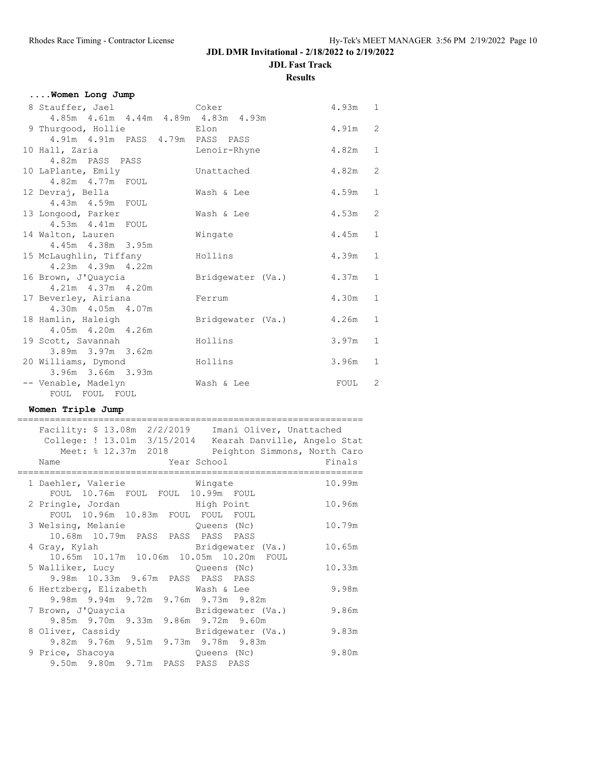**JDL Fast Track**

**Results**

| 4.93m 1<br>8 Stauffer, Jael Coker<br>4.85m  4.61m  4.44m  4.89m  4.83m  4.93m<br>$\overline{c}$<br>9 Thurgood, Hollie<br>4.91m<br>Elon<br>4.91m 4.91m PASS 4.79m PASS PASS<br>$1\,$<br>10 Hall, Zaria<br>4.82m<br>Lenoir-Rhyne<br>4.82m PASS PASS<br>$\overline{c}$<br>10 LaPlante, Emily<br>Unattached<br>4.82m<br>4.82m  4.77m  FOUL<br>$1\,$<br>12 Devraj, Bella<br>4.59m<br>Wash & Lee<br>4.43m  4.59m  FOUL<br>$\overline{c}$<br>13 Longood, Parker<br>4.53m<br>Wash & Lee<br>4.53m  4.41m  FOUL<br>$1\,$<br>4.45m<br>14 Walton, Lauren<br>Wingate<br>4.45m 4.38m 3.95m<br>$\mathbf{1}$<br>4.39m<br>15 McLaughlin, Tiffany<br>Hollins<br>4.23m  4.39m  4.22m<br>$1\,$<br>16 Brown, J'Quaycia<br>Bridgewater (Va.)<br>4.37m |
|---------------------------------------------------------------------------------------------------------------------------------------------------------------------------------------------------------------------------------------------------------------------------------------------------------------------------------------------------------------------------------------------------------------------------------------------------------------------------------------------------------------------------------------------------------------------------------------------------------------------------------------------------------------------------------------------------------------------------------|
|                                                                                                                                                                                                                                                                                                                                                                                                                                                                                                                                                                                                                                                                                                                                 |
|                                                                                                                                                                                                                                                                                                                                                                                                                                                                                                                                                                                                                                                                                                                                 |
|                                                                                                                                                                                                                                                                                                                                                                                                                                                                                                                                                                                                                                                                                                                                 |
|                                                                                                                                                                                                                                                                                                                                                                                                                                                                                                                                                                                                                                                                                                                                 |
|                                                                                                                                                                                                                                                                                                                                                                                                                                                                                                                                                                                                                                                                                                                                 |
|                                                                                                                                                                                                                                                                                                                                                                                                                                                                                                                                                                                                                                                                                                                                 |
|                                                                                                                                                                                                                                                                                                                                                                                                                                                                                                                                                                                                                                                                                                                                 |
|                                                                                                                                                                                                                                                                                                                                                                                                                                                                                                                                                                                                                                                                                                                                 |
|                                                                                                                                                                                                                                                                                                                                                                                                                                                                                                                                                                                                                                                                                                                                 |
|                                                                                                                                                                                                                                                                                                                                                                                                                                                                                                                                                                                                                                                                                                                                 |
|                                                                                                                                                                                                                                                                                                                                                                                                                                                                                                                                                                                                                                                                                                                                 |
|                                                                                                                                                                                                                                                                                                                                                                                                                                                                                                                                                                                                                                                                                                                                 |
|                                                                                                                                                                                                                                                                                                                                                                                                                                                                                                                                                                                                                                                                                                                                 |
|                                                                                                                                                                                                                                                                                                                                                                                                                                                                                                                                                                                                                                                                                                                                 |
|                                                                                                                                                                                                                                                                                                                                                                                                                                                                                                                                                                                                                                                                                                                                 |
|                                                                                                                                                                                                                                                                                                                                                                                                                                                                                                                                                                                                                                                                                                                                 |
|                                                                                                                                                                                                                                                                                                                                                                                                                                                                                                                                                                                                                                                                                                                                 |
| 4.21m  4.37m  4.20m                                                                                                                                                                                                                                                                                                                                                                                                                                                                                                                                                                                                                                                                                                             |
| 4.30m<br>$\mathbf 1$<br>17 Beverley, Airiana<br>Ferrum                                                                                                                                                                                                                                                                                                                                                                                                                                                                                                                                                                                                                                                                          |
| 4.30m  4.05m  4.07m                                                                                                                                                                                                                                                                                                                                                                                                                                                                                                                                                                                                                                                                                                             |
| $\mathbf{1}$<br>18 Hamlin, Haleigh<br>Bridgewater (Va.)<br>4.26m                                                                                                                                                                                                                                                                                                                                                                                                                                                                                                                                                                                                                                                                |
| 4.05m  4.20m  4.26m                                                                                                                                                                                                                                                                                                                                                                                                                                                                                                                                                                                                                                                                                                             |
| $\mathbf 1$<br>19 Scott, Savannah<br>Hollins<br>3.97m<br>3.89m 3.97m 3.62m                                                                                                                                                                                                                                                                                                                                                                                                                                                                                                                                                                                                                                                      |
| $\mathbf 1$<br>3.96m<br>20 Williams, Dymond<br>Hollins                                                                                                                                                                                                                                                                                                                                                                                                                                                                                                                                                                                                                                                                          |
| 3.96m 3.66m 3.93m                                                                                                                                                                                                                                                                                                                                                                                                                                                                                                                                                                                                                                                                                                               |
| $\overline{c}$<br>-- Venable, Madelyn<br>Wash & Lee<br>FOUL                                                                                                                                                                                                                                                                                                                                                                                                                                                                                                                                                                                                                                                                     |
| FOUL FOUL FOUL                                                                                                                                                                                                                                                                                                                                                                                                                                                                                                                                                                                                                                                                                                                  |

## **Women Triple Jump**

|                                         | Facility: \$ 13.08m  2/2/2019  Imani Oliver, Unattached                                                                                                                                                                        |        |
|-----------------------------------------|--------------------------------------------------------------------------------------------------------------------------------------------------------------------------------------------------------------------------------|--------|
|                                         | College: ! 13.01m 3/15/2014 Kearah Danville, Angelo Stat                                                                                                                                                                       |        |
|                                         | Meet: % 12.37m 2018 Peighton Simmons, North Caro                                                                                                                                                                               |        |
| Name                                    | Year School The Management of the Management of the Management of the Management of the Management of the Management of the Management of the Management of the Management of the Management of the Management of the Manageme | Finals |
| 1 Daehler, Valerie and Mingate          |                                                                                                                                                                                                                                | 10.99m |
| FOUL 10.76m FOUL FOUL 10.99m FOUL       |                                                                                                                                                                                                                                |        |
| 2 Pringle, Jordan Migh Point            |                                                                                                                                                                                                                                | 10.96m |
| FOUL 10.96m 10.83m FOUL FOUL FOUL       |                                                                                                                                                                                                                                |        |
| 3 Welsing, Melanie (Nc)                 |                                                                                                                                                                                                                                | 10.79m |
| 10.68m  10.79m  PASS  PASS  PASS  PASS  |                                                                                                                                                                                                                                |        |
| 4 Gray, Kylah                           | Bridgewater (Va.)                                                                                                                                                                                                              | 10.65m |
| 10.65m 10.17m 10.06m 10.05m 10.20m FOUL |                                                                                                                                                                                                                                |        |
| 5 Walliker, Lucy Cueens (Nc)            |                                                                                                                                                                                                                                | 10.33m |
| 9.98m 10.33m 9.67m PASS PASS PASS       |                                                                                                                                                                                                                                |        |
| 6 Hertzberg, Elizabeth Mash & Lee       |                                                                                                                                                                                                                                | 9.98m  |
| 9.98m 9.94m 9.72m 9.76m 9.73m 9.82m     |                                                                                                                                                                                                                                |        |
|                                         | 7 Brown, J'Quaycia           Bridgewater (Va.)                                                                                                                                                                                 | 9.86m  |
| 9.85m 9.70m 9.33m 9.86m 9.72m 9.60m     |                                                                                                                                                                                                                                |        |
| 8 Oliver, Cassidy                       | Bridgewater (Va.)                                                                                                                                                                                                              | 9.83m  |
| 9.82m 9.76m 9.51m 9.73m 9.78m 9.83m     |                                                                                                                                                                                                                                |        |
| 9 Price, Shacoya (Nc)                   |                                                                                                                                                                                                                                | 9.80m  |
| 9.50m 9.80m 9.71m PASS PASS PASS        |                                                                                                                                                                                                                                |        |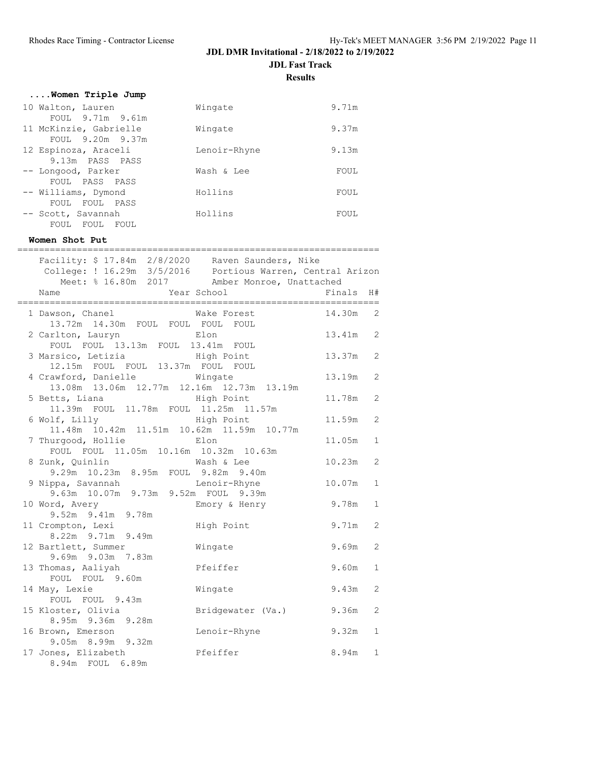**JDL Fast Track**

**Results**

| Women Triple Jump        |              |       |
|--------------------------|--------------|-------|
| 10 Walton, Lauren        | Wingate      | 9.71m |
| FOUL 9.71m 9.61m         |              |       |
| 11 McKinzie, Gabrielle   | Wingate      | 9.37m |
| FOUL 9.20m 9.37m         |              |       |
| 12 Espinoza, Araceli     | Lenoir-Rhyne | 9.13m |
| 9.13m PASS PASS          |              |       |
| -- Longood, Parker       | Wash & Lee   | FOUL  |
| FOUL PASS PASS           |              |       |
| -- Williams, Dymond      | Hollins      | FOUL  |
| FOUL FOUL PASS           |              |       |
| -- Scott, Savannah       | Hollins      | FOUL  |
| <b>FOUL</b><br>FOUL FOUL |              |       |

#### **Women Shot Put**

| Facility: \$ 17.84m 2/8/2020 Raven Saunders, Nike           |                   |        |                |
|-------------------------------------------------------------|-------------------|--------|----------------|
| College: ! 16.29m 3/5/2016  Portious Warren, Central Arizon |                   |        |                |
| Meet: % 16.80m 2017 Amber Monroe, Unattached                |                   |        |                |
| Year School<br>Name                                         |                   | Finals | H#             |
| 1 Dawson, Chanel                                            | Wake Forest       | 14.30m | 2              |
| 13.72m 14.30m FOUL FOUL FOUL FOUL                           |                   |        |                |
| 2 Carlton, Lauryn                                           | Elon              | 13.41m | 2              |
| FOUL FOUL 13.13m FOUL 13.41m FOUL                           |                   |        |                |
| 3 Marsico, Letizia                                          | High Point        | 13.37m | 2              |
| 12.15m FOUL FOUL 13.37m FOUL FOUL                           |                   |        |                |
| 4 Crawford, Danielle                                        | Wingate           | 13.19m | 2              |
| 13.08m  13.06m  12.77m  12.16m  12.73m  13.19m              |                   |        |                |
| 5 Betts, Liana                                              | High Point        | 11.78m | 2              |
| 11.39m FOUL 11.78m FOUL 11.25m 11.57m                       |                   |        |                |
| 6 Wolf, Lilly                                               | High Point        | 11.59m | 2              |
| 11.48m  10.42m  11.51m  10.62m  11.59m  10.77m              |                   |        |                |
| 7 Thurgood, Hollie<br><b>Elon</b>                           |                   | 11.05m | $\mathbf{1}$   |
| FOUL FOUL 11.05m 10.16m 10.32m 10.63m                       |                   |        |                |
| 8 Zunk, Quinlin Mash & Lee                                  |                   | 10.23m | 2              |
| 9.29m  10.23m  8.95m  FOUL  9.82m  9.40m                    |                   |        |                |
|                                                             |                   | 10.07m | $\mathbf{1}$   |
|                                                             |                   |        |                |
| 10 Word, Avery                                              | Emory & Henry     | 9.78m  | $\mathbf{1}$   |
| 9.52m 9.41m 9.78m                                           |                   |        |                |
| 11 Crompton, Lexi                                           | High Point        | 9.71m  | $\overline{2}$ |
| 8.22m 9.71m 9.49m                                           |                   |        |                |
| 12 Bartlett, Summer                                         | Wingate           | 9.69m  | 2              |
| 9.69m 9.03m 7.83m                                           |                   |        |                |
| 13 Thomas, Aaliyah                                          | Pfeiffer          | 9.60m  | $\mathbf{1}$   |
| FOUL FOUL 9.60m                                             |                   |        |                |
| 14 May, Lexie                                               | Wingate           | 9.43m  | $\overline{2}$ |
| FOUL FOUL 9.43m                                             |                   |        |                |
| 15 Kloster, Olivia                                          | Bridgewater (Va.) | 9.36m  | 2              |
| 8.95m 9.36m 9.28m                                           |                   |        |                |
| 16 Brown, Emerson                                           | Lenoir-Rhyne      | 9.32m  | $\mathbf{1}$   |
| 9.05m 8.99m 9.32m                                           |                   |        |                |
| 17 Jones, Elizabeth                                         | Pfeiffer          | 8.94m  | $\mathbf{1}$   |
| 8.94m FOUL 6.89m                                            |                   |        |                |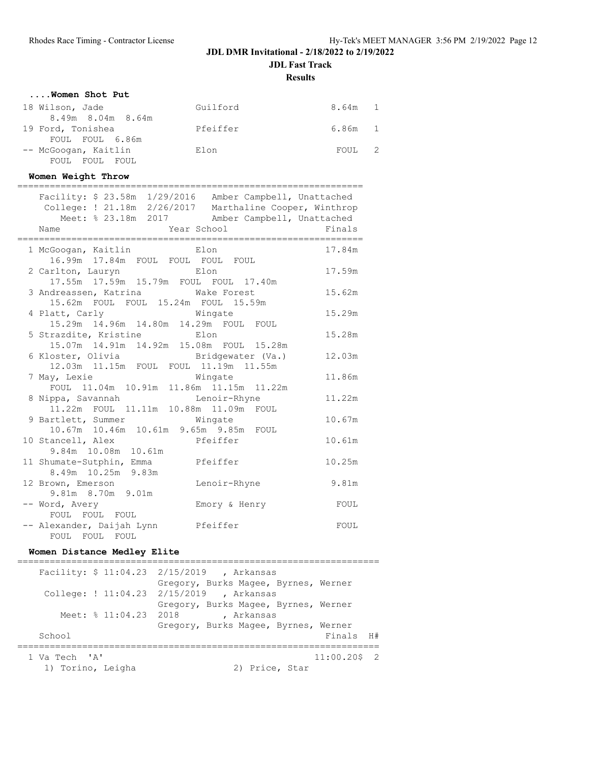**JDL Fast Track**

**Results**

| Women Shot Put             |          |         |  |
|----------------------------|----------|---------|--|
| 18 Wilson, Jade            | Guilford | 8.64m 1 |  |
| $8.49m$ $8.04m$ $8.64m$    |          |         |  |
| 19 Ford, Tonishea          | Pfeiffer | 6.86m 1 |  |
| FOUL FOUL 6.86m            |          |         |  |
| -- McGoogan, Kaitlin       | Elon     | FOUL 2  |  |
| FOUL.<br>- FOUL -<br>FOUL. |          |         |  |

## **Women Weight Throw**

================================================================ Facility: \$ 23.58m 1/29/2016 Amber Campbell, Unattached College: ! 21.18m 2/26/2017 Marthaline Cooper, Winthrop

| Meet: % 23.18m 2017 Amber Campbell, Unattached                              |               |        |
|-----------------------------------------------------------------------------|---------------|--------|
| Year School<br>Name                                                         |               | Finals |
|                                                                             |               |        |
| 1 McGoogan, Kaitlin Kalon                                                   |               | 17.84m |
| 16.99m 17.84m FOUL FOUL FOUL FOUL                                           |               |        |
| 2 Carlton, Lauryn Blon                                                      |               | 17.59m |
| 17.55m  17.59m  15.79m  FOUL  FOUL  17.40m                                  |               |        |
| 3 Andreassen, Katrina Make Forest                                           |               | 15.62m |
| 15.62m FOUL FOUL 15.24m FOUL 15.59m                                         |               |        |
| 4 Platt, Carly Mingate                                                      |               | 15.29m |
| 15.29m  14.96m  14.80m  14.29m  FOUL  FOUL                                  |               |        |
| 5 Strazdite, Kristine and Elon                                              |               | 15.28m |
| 15.07m  14.91m  14.92m  15.08m  FOUL  15.28m                                |               |        |
| 6 Kloster, Olivia biografic Bridgewater (Va.)                               |               | 12.03m |
| 12.03m  11.15m  FOUL  FOUL  11.19m  11.55m                                  |               |        |
| 7 May, Lexie<br>y, Lexie Mingate<br>FOUL 11.04m 10.91m 11.86m 11.15m 11.22m |               | 11.86m |
|                                                                             |               |        |
| 8 Nippa, Savannah Manuel Lenoir-Rhyne                                       |               | 11.22m |
| 11.22m FOUL 11.11m 10.88m 11.09m FOUL                                       |               |        |
| 9 Bartlett, Summer Wingate                                                  |               | 10.67m |
| 10.67m  10.46m  10.61m  9.65m  9.85m  FOUL                                  |               |        |
| 10 Stancell, Alex Pfeiffer                                                  |               | 10.61m |
| 9.84m 10.08m 10.61m                                                         |               |        |
| 11 Shumate-Sutphin, Emma Pfeiffer                                           |               | 10.25m |
| 8.49m 10.25m 9.83m                                                          |               |        |
| 12 Brown, Emerson                                                           | Lenoir-Rhyne  | 9.81m  |
| 9.81m 8.70m 9.01m                                                           |               |        |
| -- Word, Avery                                                              | Emory & Henry | FOUL   |
| FOUL FOUL FOUL                                                              |               |        |
| -- Alexander, Daijah Lynn                                                   | Pfeiffer      | FOUL   |
| FOUL FOUL FOUL                                                              |               |        |

## **Women Distance Medley Elite**

|                       | Facility: \$ 11:04.23 2/15/2019 , Arkansas |
|-----------------------|--------------------------------------------|
|                       | Gregory, Burks Magee, Byrnes, Werner       |
|                       | College: ! 11:04.23 2/15/2019 , Arkansas   |
|                       | Gregory, Burks Magee, Byrnes, Werner       |
| Meet: % 11:04.23 2018 | , Arkansas                                 |
|                       | Gregory, Burks Magee, Byrnes, Werner       |
| School                | Finals H#                                  |
|                       |                                            |
| 1 Va Tech 'A'         | $11:00.205$ 2                              |
| 1) Torino, Leigha     | 2) Price, Star                             |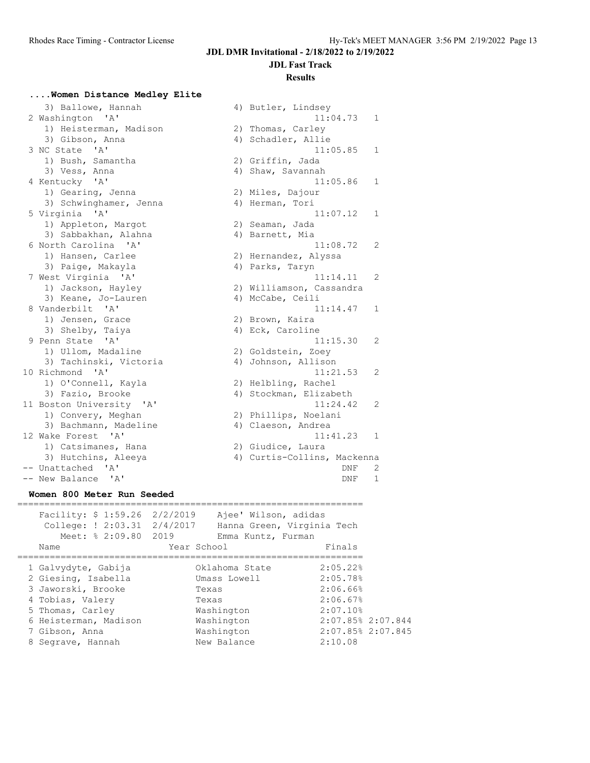**JDL Fast Track**

#### **Results**

#### **....Women Distance Medley Elite**

3) Ballowe, Hannah 1) Heisterman, Ma 3) Gibson, Anna 1) Bush, Samantha 3) Vess, Anna 1) Gearing, Jenna 3) Schwinghamer, 1) Appleton, Margo 3) Sabbakhan, Alah 1) Hansen, Carlee 3) Paige, Makayla 1) Jackson, Hayle 3) Keane, Jo-Laure 1) Jensen, Grace 3) Shelby, Taiya 1) Ullom, Madaline 3) Tachinski, Vic 1) O'Connell, Kay 3) Fazio, Brooke 1) Convery, Megha 3) Bachmann, Made. 1) Catsimanes, Hana (2) Giudice, Laura 3) Hutchins, Aleeya 4) Curtis-Collins, Mackenna -- Unattached 'A' DNF 2 -- New Balance 'A' DNF 1

#### **Women 800 Meter Run Seeded**

| Facility: $$1:59.26$ 2/2/2019<br>College: ! 2:03.31 2/4/2017<br>Meet: % 2:09.80 2019<br>Name                                                                             | Ajee' Wilson, adidas<br>Emma Kuntz, Furman<br>Year School                                                 | Hanna Green, Virginia Tech<br>Finals                                                                         |
|--------------------------------------------------------------------------------------------------------------------------------------------------------------------------|-----------------------------------------------------------------------------------------------------------|--------------------------------------------------------------------------------------------------------------|
| 1 Galvydyte, Gabija<br>2 Giesing, Isabella<br>3 Jaworski, Brooke<br>4 Tobias, Valery<br>5 Thomas, Carley<br>6 Heisterman, Madison<br>7 Gibson, Anna<br>8 Segrave, Hannah | Oklahoma State<br>Umass Lowell<br>Texas<br>Texas<br>Washington<br>Washington<br>Washington<br>New Balance | 2:05.22%<br>2:05.78%<br>2:06.66%<br>2:06.67%<br>2:07.10%<br>2:07.85%2:07.844<br>2:07.85% 2:07.845<br>2:10.08 |

| 3) Ballowe, Hannah       |    | 4) Butler, Lindsey       |              |
|--------------------------|----|--------------------------|--------------|
| 2 Washington 'A'         |    | 11:04.73                 | 1            |
| 1) Heisterman, Madison   |    | 2) Thomas, Carley        |              |
| 3) Gibson, Anna          |    | 4) Schadler, Allie       |              |
| 3 NC State 'A'           |    | 11:05.85                 | 1            |
| 1) Bush, Samantha        |    | 2) Griffin, Jada         |              |
| 3) Vess, Anna            |    | 4) Shaw, Savannah        |              |
| 4 Kentucky 'A'           |    | 11:05.86                 | $\mathbf{1}$ |
| 1) Gearing, Jenna        |    | 2) Miles, Dajour         |              |
| 3) Schwinghamer, Jenna   |    | 4) Herman, Tori          |              |
| 5 Virginia 'A'           |    | 11:07.12                 | 1            |
| 1) Appleton, Margot      |    | 2) Seaman, Jada          |              |
| 3) Sabbakhan, Alahna     |    | 4) Barnett, Mia          |              |
| 6 North Carolina 'A'     |    | 11:08.72                 | 2            |
| 1) Hansen, Carlee        |    | 2) Hernandez, Alyssa     |              |
| 3) Paige, Makayla        |    | 4) Parks, Taryn          |              |
| 7 West Virginia 'A'      |    | 11:14.11                 | 2            |
| 1) Jackson, Hayley       |    | 2) Williamson, Cassandra |              |
| 3) Keane, Jo-Lauren      |    | 4) McCabe, Ceili         |              |
| 8 Vanderbilt 'A'         |    | 11:14.47                 | 1            |
| 1) Jensen, Grace         |    | 2) Brown, Kaira          |              |
| 3) Shelby, Taiya         |    | 4) Eck, Caroline         |              |
| 9 Penn State 'A'         |    | 11:15.30                 | 2            |
| 1) Ullom, Madaline       |    | 2) Goldstein, Zoey       |              |
| 3) Tachinski, Victoria   | 4) | Johnson, Allison         |              |
| 10 Richmond 'A'          |    | 11:21.53                 | 2            |
| 1) O'Connell, Kayla      |    | 2) Helbling, Rachel      |              |
| 3) Fazio, Brooke         | 4) | Stockman, Elizabeth      |              |
| 11 Boston University 'A' |    | 11:24.42                 | 2            |
| 1) Convery, Meghan       |    | 2) Phillips, Noelani     |              |
| 3) Bachmann, Madeline    |    | 4) Claeson, Andrea       |              |
| 12 Wake Forest 'A'       |    | 11:41.23                 | $\mathbf{1}$ |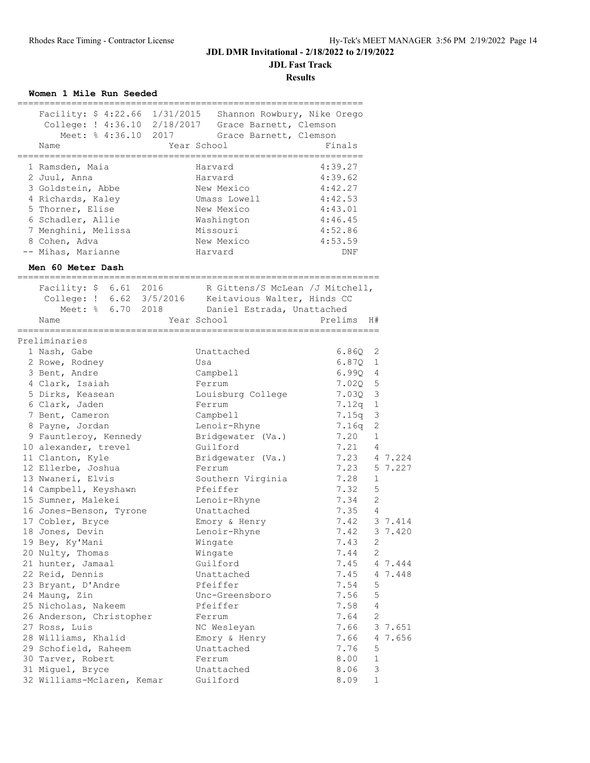**JDL Fast Track**

**Results**

| Facility: \$ 4:22.66 1/31/2015 Shannon Rowbury, Nike Orego<br>College: ! 4:36.10 2/18/2017 Grace Barnett, Clemson<br>Meet: % 4:36.10 2017 Grace Barnett, Clemson<br>Name | Year School                                                   | Finals  |                |              |
|--------------------------------------------------------------------------------------------------------------------------------------------------------------------------|---------------------------------------------------------------|---------|----------------|--------------|
| 1 Ramsden, Maia                                                                                                                                                          | Harvard                                                       | 4:39.27 |                |              |
| 2 Juul, Anna                                                                                                                                                             | Harvard                                                       | 4:39.62 |                |              |
| 3 Goldstein, Abbe                                                                                                                                                        | New Mexico                                                    | 4:42.27 |                |              |
| 4 Richards, Kaley                                                                                                                                                        | Umass Lowell                                                  | 4:42.53 |                |              |
| 5 Thorner, Elise                                                                                                                                                         | New Mexico                                                    | 4:43.01 |                |              |
| 6 Schadler, Allie                                                                                                                                                        | Washington                                                    | 4:46.45 |                |              |
| 7 Menghini, Melissa                                                                                                                                                      | Missouri                                                      | 4:52.86 |                |              |
| 8 Cohen, Adva                                                                                                                                                            | New Mexico                                                    | 4:53.59 |                |              |
| -- Mihas, Marianne                                                                                                                                                       | Harvard                                                       | DNF     |                |              |
| Men 60 Meter Dash                                                                                                                                                        |                                                               |         |                |              |
| Facility: $$6.61$ 2016<br>College: ! 6.62 3/5/2016  Keitavious Walter, Hinds CC<br>Meet: % 6.70 2018                                                                     | R Gittens/S McLean /J Mitchell,<br>Daniel Estrada, Unattached |         |                |              |
| Name                                                                                                                                                                     | Year School                                                   | Prelims | H#             |              |
| Preliminaries                                                                                                                                                            |                                                               |         |                |              |
| 1 Nash, Gabe                                                                                                                                                             | Unattached                                                    | 6.86Q   | 2              |              |
| 2 Rowe, Rodney                                                                                                                                                           | Usa                                                           | 6.87Q   | $\mathbf{1}$   |              |
| 3 Bent, Andre                                                                                                                                                            | Campbell                                                      | 6.990   | 4              |              |
| 4 Clark, Isaiah                                                                                                                                                          | Ferrum                                                        | 7.02Q   | 5              |              |
| 5 Dirks, Keasean                                                                                                                                                         | Louisburg College                                             | 7.03Q   | 3              |              |
| 6 Clark, Jaden                                                                                                                                                           | Ferrum                                                        | 7.12q   | $\mathbf{1}$   |              |
| 7 Bent, Cameron                                                                                                                                                          | Campbell                                                      | 7.15q   | $\mathsf 3$    |              |
| 8 Payne, Jordan                                                                                                                                                          | Lenoir-Rhyne                                                  | 7.16q   | 2              |              |
| 9 Fauntleroy, Kennedy                                                                                                                                                    | Bridgewater (Va.)                                             | 7.20    | $\mathbf{1}$   |              |
| 10 alexander, trevel                                                                                                                                                     | Guilford                                                      | 7.21    | 4              |              |
| 11 Clanton, Kyle                                                                                                                                                         | Bridgewater (Va.)                                             |         |                | 7.23 4 7.224 |
| 12 Ellerbe, Joshua                                                                                                                                                       | Ferrum                                                        | 7.23    |                | 5 7.227      |
| 13 Nwaneri, Elvis                                                                                                                                                        |                                                               | 7.28    |                |              |
|                                                                                                                                                                          | Southern Virginia                                             |         | 1              |              |
| 14 Campbell, Keyshawn                                                                                                                                                    | Pfeiffer                                                      | 7.32    | 5              |              |
| 15 Sumner, Malekei                                                                                                                                                       | Lenoir-Rhyne                                                  | 7.34    | 2              |              |
| 16 Jones-Benson, Tyrone                                                                                                                                                  | Unattached                                                    | 7.35    | 4              |              |
| 17 Cobler, Bryce                                                                                                                                                         | Emory & Henry                                                 | 7.42    |                | 3 7.414      |
| 18 Jones, Devin                                                                                                                                                          | Lenoir-Rhyne                                                  | 7.42    |                | 3 7.420      |
| 19 Bey, Ky'Mani                                                                                                                                                          | Wingate                                                       | 7.43    | 2              |              |
| 20 Nulty, Thomas                                                                                                                                                         | Wingate                                                       | 7.44    | $\overline{2}$ |              |
| 21 hunter, Jamaal                                                                                                                                                        | Guilford                                                      | 7.45    |                | 4 7.444      |
| 22 Reid, Dennis                                                                                                                                                          | Unattached                                                    | 7.45    |                | 4 7.448      |
| 23 Bryant, D'Andre                                                                                                                                                       | Pfeiffer                                                      | 7.54    | 5              |              |
| 24 Maung, Zin                                                                                                                                                            | Unc-Greensboro                                                | 7.56    | 5              |              |
| 25 Nicholas, Nakeem                                                                                                                                                      | Pfeiffer                                                      | 7.58    | $\overline{4}$ |              |
| 26 Anderson, Christopher                                                                                                                                                 | Ferrum                                                        | 7.64    | 2              |              |
| 27 Ross, Luis                                                                                                                                                            | NC Wesleyan                                                   | 7.66    |                | 3 7.651      |
| 28 Williams, Khalid                                                                                                                                                      | Emory & Henry                                                 | 7.66    |                | 4 7.656      |
| 29 Schofield, Raheem                                                                                                                                                     | Unattached                                                    | 7.76    | 5              |              |
| 30 Tarver, Robert                                                                                                                                                        | Ferrum                                                        | 8.00    | $\mathbf{1}$   |              |
| 31 Miguel, Bryce                                                                                                                                                         | Unattached                                                    | 8.06    | 3              |              |
| 32 Williams-Mclaren, Kemar                                                                                                                                               | Guilford                                                      | 8.09    | $\mathbf 1$    |              |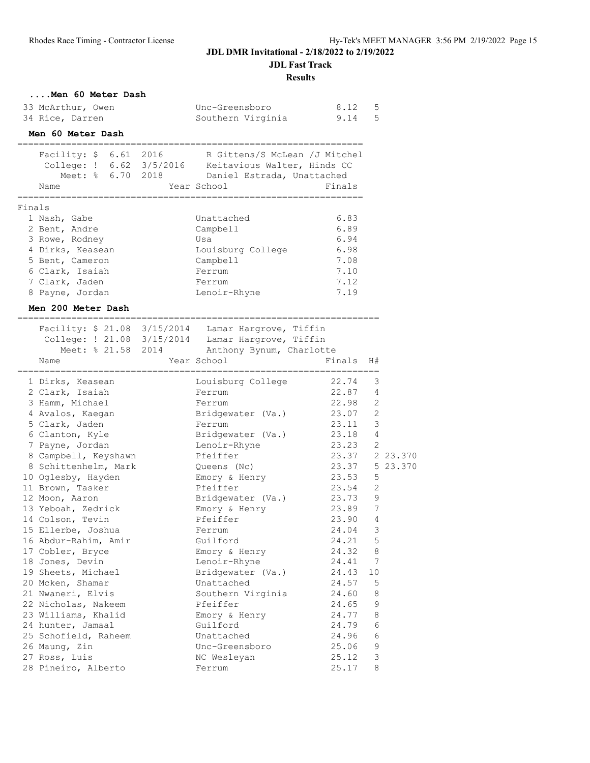**....Men 60 Meter Dash**

# **JDL DMR Invitational - 2/18/2022 to 2/19/2022 JDL Fast Track**

**Results**

|        | 33 McArthur, Owen<br>34 Rice, Darren                  |              | Unc-Greensboro<br>Southern Virginia                                                                                                                                                  | 8.12<br>9.14   | 5<br>5                  |  |
|--------|-------------------------------------------------------|--------------|--------------------------------------------------------------------------------------------------------------------------------------------------------------------------------------|----------------|-------------------------|--|
|        | Men 60 Meter Dash                                     |              |                                                                                                                                                                                      |                |                         |  |
|        | ===================<br>Facility: \$ 6.61 2016<br>Name |              | ===========================<br>R Gittens/S McLean /J Mitchel<br>College: ! 6.62 3/5/2016  Keitavious Walter, Hinds CC<br>Meet: % 6.70 2018 Daniel Estrada, Unattached<br>Year School | Finals         |                         |  |
|        |                                                       | ============ |                                                                                                                                                                                      |                |                         |  |
| Finals | 1 Nash, Gabe<br>2 Bent, Andre                         |              | Unattached<br>Campbell                                                                                                                                                               | 6.83<br>6.89   |                         |  |
|        | 3 Rowe, Rodney                                        |              | Usa                                                                                                                                                                                  | 6.94           |                         |  |
|        | 4 Dirks, Keasean                                      |              | Louisburg College                                                                                                                                                                    | 6.98           |                         |  |
|        | 5 Bent, Cameron<br>6 Clark, Isaiah                    |              | Campbell                                                                                                                                                                             | 7.08<br>7.10   |                         |  |
|        | 7 Clark, Jaden                                        |              | Ferrum<br>Ferrum                                                                                                                                                                     | 7.12           |                         |  |
|        | 8 Payne, Jordan                                       |              | Lenoir-Rhyne                                                                                                                                                                         | 7.19           |                         |  |
|        |                                                       |              |                                                                                                                                                                                      |                |                         |  |
|        | Men 200 Meter Dash                                    |              |                                                                                                                                                                                      |                |                         |  |
|        | Facility: \$ 21.08 3/15/2014                          |              | Lamar Hargrove, Tiffin<br>College: ! 21.08 3/15/2014 Lamar Hargrove, Tiffin                                                                                                          |                |                         |  |
|        | Meet: % 21.58 2014<br>Name                            |              | Anthony Bynum, Charlotte<br>Year School                                                                                                                                              | Finals         | H#                      |  |
|        |                                                       |              |                                                                                                                                                                                      |                |                         |  |
|        | 1 Dirks, Keasean                                      |              | Louisburg College                                                                                                                                                                    | 22.74          | 3                       |  |
|        | 2 Clark, Isaiah                                       |              | Ferrum                                                                                                                                                                               | 22.87          | 4                       |  |
|        | 3 Hamm, Michael                                       |              | Ferrum                                                                                                                                                                               | 22.98          | 2                       |  |
|        | 4 Avalos, Kaegan                                      |              | Bridgewater (Va.)                                                                                                                                                                    | 23.07 2        |                         |  |
|        | 5 Clark, Jaden                                        |              | Ferrum                                                                                                                                                                               | 23.11          | $\overline{\mathbf{3}}$ |  |
|        | 6 Clanton, Kyle                                       |              | Bridgewater (Va.)                                                                                                                                                                    | 23.18          | $\overline{4}$          |  |
|        | 7 Payne, Jordan                                       |              | Lenoir-Rhyne                                                                                                                                                                         | 23.23 2        |                         |  |
|        | 8 Campbell, Keyshawn                                  |              | Pfeiffer                                                                                                                                                                             | 23.37 2 23.370 |                         |  |
|        | 8 Schittenhelm, Mark                                  |              | Queens (Nc)                                                                                                                                                                          | 23.37 5 23.370 |                         |  |
|        | 10 Oglesby, Hayden                                    |              | Emory & Henry<br>Pfeiffer                                                                                                                                                            | 23.53<br>23.54 | - 5<br>2                |  |
|        | 11 Brown, Tasker<br>12 Moon, Aaron                    |              |                                                                                                                                                                                      | 23.73          | 9                       |  |
|        | 13 Yeboah, Zedrick                                    |              | Bridgewater (Va.)<br>Emory & Henry                                                                                                                                                   | 23.89          | 7                       |  |
|        | 14 Colson, Tevin                                      |              | Pfeiffer                                                                                                                                                                             | 23.90          | $\overline{4}$          |  |
|        | 15 Ellerbe, Joshua                                    |              | Ferrum                                                                                                                                                                               | 24.04          | 3                       |  |
|        | 16 Abdur-Rahim, Amir                                  |              | Guilford                                                                                                                                                                             | 24.21          | 5                       |  |
|        | 17 Cobler, Bryce                                      |              | Emory & Henry                                                                                                                                                                        | 24.32          | 8                       |  |
|        | 18 Jones, Devin                                       |              | Lenoir-Rhyne                                                                                                                                                                         | 24.41          | 7                       |  |
|        | 19 Sheets, Michael                                    |              | Bridgewater (Va.)                                                                                                                                                                    | 24.43          | 10                      |  |
|        | 20 Mcken, Shamar                                      |              | Unattached                                                                                                                                                                           | 24.57          | 5                       |  |
|        | 21 Nwaneri, Elvis                                     |              | Southern Virginia                                                                                                                                                                    | 24.60          | 8                       |  |
|        | 22 Nicholas, Nakeem                                   |              | Pfeiffer                                                                                                                                                                             | 24.65          | $\mathsf 9$             |  |
|        | 23 Williams, Khalid                                   |              | Emory & Henry                                                                                                                                                                        | 24.77          | $\,8\,$                 |  |
|        | 24 hunter, Jamaal                                     |              | Guilford                                                                                                                                                                             | 24.79          | 6                       |  |
|        | 25 Schofield, Raheem                                  |              | Unattached                                                                                                                                                                           | 24.96          | 6                       |  |
|        | 26 Maung, Zin                                         |              | Unc-Greensboro                                                                                                                                                                       | 25.06          | 9                       |  |
|        | 27 Ross, Luis                                         |              | NC Wesleyan                                                                                                                                                                          | 25.12          | 3                       |  |
|        | 28 Pineiro, Alberto                                   |              | Ferrum                                                                                                                                                                               | 25.17          | 8                       |  |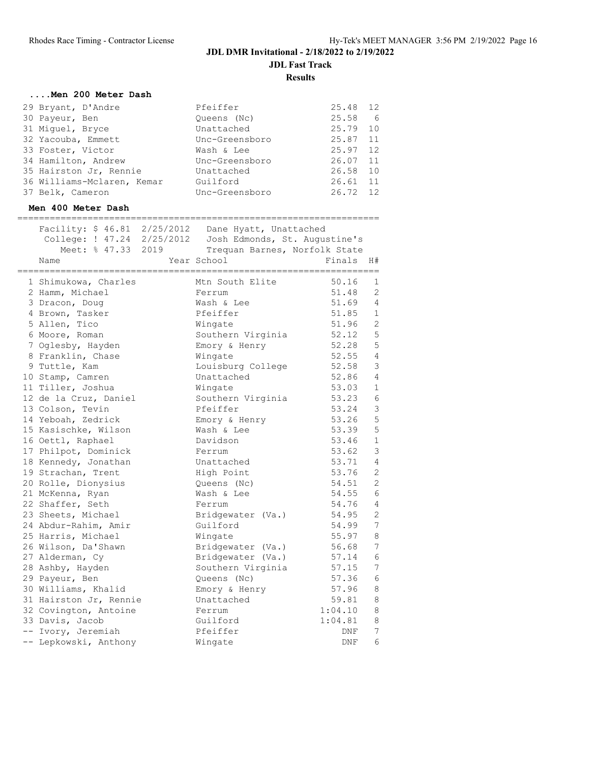**Results**

# **....Men 200 Meter Dash**

| Pfeiffer       | 25.48 | 12  |
|----------------|-------|-----|
| Queens (Nc)    | 25.58 | - 6 |
| Unattached     | 25.79 | 10  |
| Unc-Greensboro | 25.87 | 11  |
| Wash & Lee     | 25.97 | 12  |
| Unc-Greensboro | 26.07 | 11  |
| Unattached     | 26.58 | 10  |
| Guilford       | 26.61 | 11  |
| Unc-Greensboro | 26.72 | 12  |
|                |       |     |

#### **Men 400 Meter Dash**

|                                | Facility: \$ 46.81 2/25/2012 Dane Hyatt, Unattached         |         |                |
|--------------------------------|-------------------------------------------------------------|---------|----------------|
|                                | College: ! 47.24 2/25/2012    Josh Edmonds, St. Augustine's |         |                |
| Meet: % 47.33 2019             | Trequan Barnes, Norfolk State                               |         |                |
| Name<br>====================== | Year School                                                 | Finals  | H#             |
| 1 Shimukowa, Charles           | Mtn South Elite                                             | 50.16   | 1              |
| 2 Hamm, Michael                | Ferrum                                                      | 51.48   | 2              |
| 3 Dracon, Doug                 | Wash & Lee                                                  | 51.69   | 4              |
| 4 Brown, Tasker                | Pfeiffer                                                    | 51.85   | $\mathbf{1}$   |
| 5 Allen, Tico                  | Wingate                                                     | 51.96   | $\overline{c}$ |
| 6 Moore, Roman                 | Southern Virginia                                           | 52.12   | 5              |
| 7 Oglesby, Hayden              | Emory & Henry                                               | 52.28   | 5              |
| 8 Franklin, Chase              | Wingate                                                     | 52.55   | $\overline{4}$ |
| 9 Tuttle, Kam                  | Louisburg College                                           | 52.58   | $\mathcal{S}$  |
| 10 Stamp, Camren               | Unattached                                                  | 52.86   | $\overline{4}$ |
| 11 Tiller, Joshua              | Wingate                                                     | 53.03   | $\mathbf{1}$   |
| 12 de la Cruz, Daniel          | Southern Virginia                                           | 53.23   | $\epsilon$     |
| 13 Colson, Tevin               | Pfeiffer                                                    | 53.24   | $\mathcal{E}$  |
| 14 Yeboah, Zedrick             | Emory & Henry                                               | 53.26   | 5              |
| 15 Kasischke, Wilson           | Wash & Lee                                                  | 53.39   | 5              |
| 16 Oettl, Raphael              | Davidson                                                    | 53.46   | $\mathbf{1}$   |
| 17 Philpot, Dominick           | Ferrum                                                      | 53.62   | 3              |
| 18 Kennedy, Jonathan           | Unattached                                                  | 53.71   | 4              |
| 19 Strachan, Trent             | High Point                                                  | 53.76   | $\overline{c}$ |
| 20 Rolle, Dionysius            | Queens (Nc)                                                 | 54.51   | $\overline{c}$ |
| 21 McKenna, Ryan               | Wash & Lee                                                  | 54.55   | 6              |
| 22 Shaffer, Seth               | Ferrum                                                      | 54.76   | $\overline{4}$ |
| 23 Sheets, Michael             | Bridgewater (Va.)                                           | 54.95   | $\overline{c}$ |
| 24 Abdur-Rahim, Amir           | Guilford                                                    | 54.99   | $\sqrt{ }$     |
| 25 Harris, Michael             | Wingate                                                     | 55.97   | $\,8\,$        |
| 26 Wilson, Da'Shawn            | Bridgewater (Va.)                                           | 56.68   | 7              |
| 27 Alderman, Cy                | Bridgewater (Va.)                                           | 57.14   | $6\,$          |
| 28 Ashby, Hayden               | Southern Virginia                                           | 57.15   | 7              |
| 29 Payeur, Ben                 | Queens (Nc)                                                 | 57.36   | 6              |
| 30 Williams, Khalid            | Emory & Henry                                               | 57.96   | $\,8\,$        |
| 31 Hairston Jr, Rennie         | Unattached                                                  | 59.81   | 8              |
| 32 Covington, Antoine          | Ferrum                                                      | 1:04.10 | 8              |
| 33 Davis, Jacob                | Guilford                                                    | 1:04.81 | 8              |
| -- Ivory, Jeremiah             | Pfeiffer                                                    | DNF     | 7              |
| -- Lepkowski, Anthony          | Wingate                                                     | DNF     | 6              |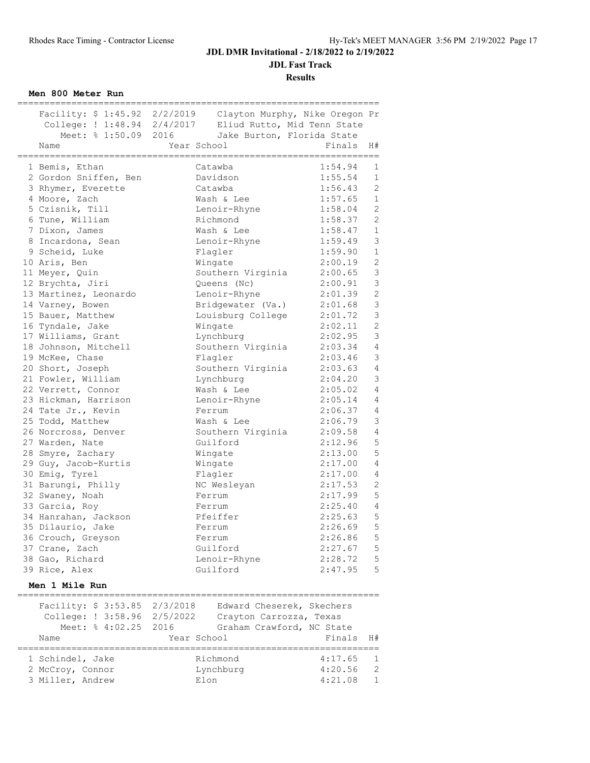**JDL Fast Track**

**Results**

**Men 800 Meter Run**

| Facility: \$ 1:45.92 2/2/2019 Clayton Murphy, Nike Oregon Pr |                        |                                                         |                    |                     |
|--------------------------------------------------------------|------------------------|---------------------------------------------------------|--------------------|---------------------|
|                                                              |                        | College: ! 1:48.94 2/4/2017 Eliud Rutto, Mid Tenn State |                    |                     |
|                                                              |                        | Meet: % 1:50.09 2016 Jake Burton, Florida State         |                    |                     |
| Name                                                         |                        | Year School                                             | Finals             | H#                  |
|                                                              |                        |                                                         | __________________ |                     |
| 1 Bemis, Ethan                                               |                        | Catawba                                                 | 1:54.94            | 1                   |
| 2 Gordon Sniffen, Ben                                        |                        | Davidson                                                | 1:55.54            | $\mathbf{1}$        |
| 3 Rhymer, Everette                                           |                        | Catawba                                                 | 1:56.43            | 2                   |
| 4 Moore, Zach                                                |                        | Wash & Lee                                              | 1:57.65            | $\mathbf{1}$        |
|                                                              |                        |                                                         |                    |                     |
| 5 Czisnik, Till                                              |                        | Lenoir-Rhyne                                            | 1:58.04            | $\mathbf{2}$        |
| 6 Tune, William                                              |                        | Richmond                                                | 1:58.37            | $\mathbf{2}$        |
| 7 Dixon, James                                               |                        | Wash & Lee                                              | 1:58.47            | $\,1\,$             |
| 8 Incardona, Sean                                            |                        | Lenoir-Rhyne                                            | 1:59.49            | $\mathfrak{Z}$      |
| 9 Scheid, Luke                                               |                        | Flagler                                                 | 1:59.90            | $\,1\,$             |
| 10 Aris, Ben                                                 |                        | Wingate                                                 | 2:00.19            | $\mathbf{2}$        |
| 11 Meyer, Quin                                               |                        | Southern Virginia                                       | 2:00.65            | $\mathfrak{Z}$      |
| 12 Brychta, Jiri                                             |                        | Queens (Nc)                                             | 2:00.91            | $\mathfrak{Z}$      |
| 13 Martinez, Leonardo                                        |                        | Lenoir-Rhyne                                            | 2:01.39            | $\mathbf{2}$        |
| 14 Varney, Bowen                                             |                        | Bridgewater (Va.)                                       | 2:01.68            | $\mathfrak{Z}$      |
| 15 Bauer, Matthew                                            |                        | Louisburg College                                       | 2:01.72            | $\mathfrak{Z}$      |
| 16 Tyndale, Jake                                             |                        | Wingate                                                 | 2:02.11            | $\overline{c}$      |
| 17 Williams, Grant                                           |                        | Lynchburg                                               | 2:02.95            | $\mathfrak{Z}$      |
| 18 Johnson, Mitchell                                         |                        | Southern Virginia                                       | 2:03.34            | $\sqrt{4}$          |
| 19 McKee, Chase                                              |                        | Flagler                                                 | 2:03.46            | $\mathfrak{Z}$      |
| 20 Short, Joseph                                             |                        | Southern Virginia                                       | 2:03.63            | $\sqrt{4}$          |
| 21 Fowler, William                                           |                        | Lynchburg                                               |                    | $\mathcal{S}$       |
| 22 Verrett, Connor                                           |                        | Wash & Lee                                              |                    | $\sqrt{4}$          |
| 23 Hickman, Harrison                                         |                        |                                                         |                    | $\overline{4}$      |
| 24 Tate Jr., Kevin                                           | Lenoir-Rhyne<br>Ferrum |                                                         | 2:05.14<br>2:06.37 | $\overline{4}$      |
| 25 Todd, Matthew                                             |                        |                                                         | 2:06.79            | $\mathfrak{Z}$      |
| 26 Norcross, Denver                                          | Wash & Lee             |                                                         | 2:09.58            | $\sqrt{4}$          |
| 27 Warden, Nate                                              |                        | Southern Virginia<br>Guilford                           | 2:12.96            | 5                   |
|                                                              |                        |                                                         |                    |                     |
| 28 Smyre, Zachary                                            |                        | Wingate                                                 | 2:13.00            | 5<br>$\overline{4}$ |
| 29 Guy, Jacob-Kurtis                                         |                        | Wingate                                                 | 2:17.00            |                     |
| 30 Emig, Tyrel                                               |                        | Flagler                                                 | 2:17.00            | $\overline{4}$      |
| 31 Barungi, Philly                                           |                        | NC Wesleyan                                             | 2:17.53            | $\sqrt{2}$          |
| 32 Swaney, Noah                                              |                        | Ferrum                                                  | 2:17.99            | 5                   |
| 33 Garcia, Roy                                               |                        | Ferrum                                                  | 2:25.40            | $\sqrt{4}$          |
| 34 Hanrahan, Jackson                                         |                        | Pfeiffer                                                | 2:25.63            | 5                   |
| 35 Dilaurio, Jake                                            |                        | Ferrum                                                  | 2:26.69            | 5                   |
| 36 Crouch, Greyson                                           |                        | Ferrum                                                  | 2:26.86            | 5                   |
| 37 Crane, Zach                                               |                        | Guilford                                                | 2:27.67            | $\mathsf S$         |
| 38 Gao, Richard                                              |                        | Lenoir-Rhyne                                            | 2:28.72            | $\mathsf S$         |
| 39 Rice, Alex                                                |                        | Guilford                                                | 2:47.95            | 5                   |
| Men 1 Mile Run                                               |                        |                                                         |                    |                     |
|                                                              |                        |                                                         |                    |                     |
| Facility: \$ 3:53.85 2/3/2018                                |                        | Edward Cheserek, Skechers                               |                    |                     |
| College: ! 3:58.96 2/5/2022                                  |                        | Crayton Carrozza, Texas                                 |                    |                     |
| Meet: % 4:02.25 2016                                         |                        | Graham Crawford, NC State                               |                    |                     |
| Name                                                         |                        | Year School                                             | Finals             | H#                  |
|                                                              |                        |                                                         |                    |                     |
| 1 Schindel, Jake                                             |                        | Richmond                                                | 4:17.65            | 1                   |
| 2 McCroy, Connor                                             |                        | Lynchburg                                               | 4:20.56            | 2                   |
| 3 Miller, Andrew                                             |                        | Elon                                                    | 4:21.08            | $\mathbf{1}$        |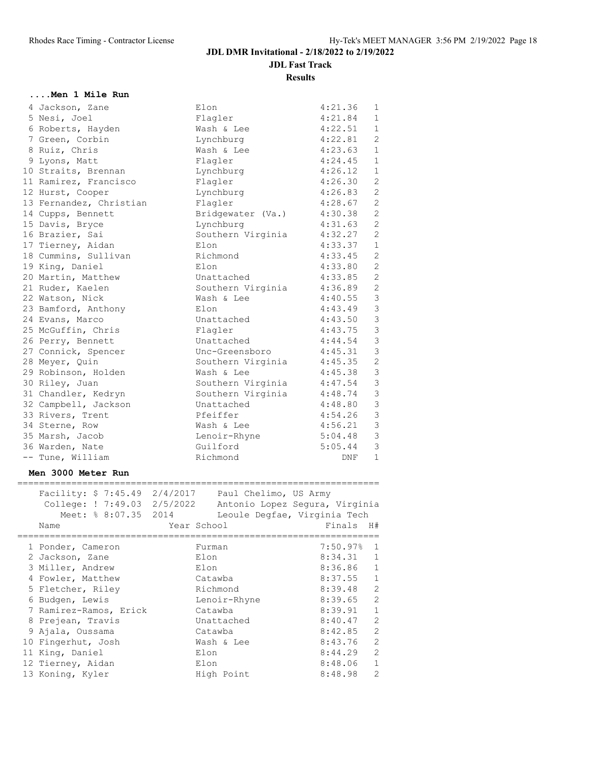# **Results**

# **....Men 1 Mile Run**

| 4 Jackson, Zane         | Elon              | 4:21.36 | 1              |
|-------------------------|-------------------|---------|----------------|
| 5 Nesi, Joel            | Flagler           | 4:21.84 | $\mathbf{1}$   |
| 6 Roberts, Hayden       | Wash & Lee        | 4:22.51 | $\mathbf{1}$   |
| 7 Green, Corbin         | Lynchburg         | 4:22.81 | $\overline{c}$ |
| 8 Ruiz, Chris           | Wash & Lee        | 4:23.63 | $\mathbf{1}$   |
| 9 Lyons, Matt           | Flagler           | 4:24.45 | $\,1\,$        |
| 10 Straits, Brennan     | Lynchburg         | 4:26.12 | $\mathbf{1}$   |
| 11 Ramirez, Francisco   | Flaqler           | 4:26.30 | $\overline{c}$ |
| 12 Hurst, Cooper        | Lynchburg         | 4:26.83 | $\overline{c}$ |
| 13 Fernandez, Christian | Flagler           | 4:28.67 | $\overline{2}$ |
| 14 Cupps, Bennett       | Bridgewater (Va.) | 4:30.38 | $\overline{c}$ |
| 15 Davis, Bryce         | Lynchburg         | 4:31.63 | $\mathbf{2}$   |
| 16 Brazier, Sai         | Southern Virginia | 4:32.27 | $\sqrt{2}$     |
| 17 Tierney, Aidan       | Elon              | 4:33.37 | $\mathbf{1}$   |
| 18 Cummins, Sullivan    | Richmond          | 4:33.45 | $\overline{c}$ |
| 19 King, Daniel         | Elon              | 4:33.80 | $\mathbf{2}$   |
| 20 Martin, Matthew      | Unattached        | 4:33.85 | $\overline{c}$ |
| 21 Ruder, Kaelen        | Southern Virginia | 4:36.89 | $\sqrt{2}$     |
| 22 Watson, Nick         | Wash & Lee        | 4:40.55 | $\mathcal{S}$  |
| 23 Bamford, Anthony     | Elon              | 4:43.49 | $\mathbf{3}$   |
| 24 Evans, Marco         | Unattached        | 4:43.50 | $\mathcal{S}$  |
| 25 McGuffin, Chris      | Flagler           | 4:43.75 | $\mathfrak{Z}$ |
| 26 Perry, Bennett       | Unattached        | 4:44.54 | $\mathfrak{Z}$ |
| 27 Connick, Spencer     | Unc-Greensboro    | 4:45.31 | $\mathfrak{Z}$ |
| 28 Meyer, Quin          | Southern Virginia | 4:45.35 | $\sqrt{2}$     |
| 29 Robinson, Holden     | Wash & Lee        | 4:45.38 | $\mathfrak{Z}$ |
| 30 Riley, Juan          | Southern Virginia | 4:47.54 | $\mathfrak{Z}$ |
| 31 Chandler, Kedryn     | Southern Virginia | 4:48.74 | $\mathfrak{Z}$ |
| 32 Campbell, Jackson    | Unattached        | 4:48.80 | $\mathcal{S}$  |
| 33 Rivers, Trent        | Pfeiffer          | 4:54.26 | $\mathcal{S}$  |
| 34 Sterne, Row          | Wash & Lee        | 4:56.21 | $\mathcal{S}$  |
| 35 Marsh, Jacob         | Lenoir-Rhyne      | 5:04.48 | 3              |
| 36 Warden, Nate         | Guilford          | 5:05.44 | $\mathcal{S}$  |
| -- Tune, William        | Richmond          | DNF     | $\mathbf{1}$   |
|                         |                   |         |                |

#### **Men 3000 Meter Run**

| Facility: $$7:45.49$ $2/4/2017$ Paul Chelimo, US Army<br>College: ! 7:49.03 2/5/2022<br>Meet: % 8:07.35 2014<br>Name | Year School | Antonio Lopez Segura, Virginia<br>Leoule Degfae, Virginia Tech | Finals H# |                |
|----------------------------------------------------------------------------------------------------------------------|-------------|----------------------------------------------------------------|-----------|----------------|
| 1 Ponder, Cameron                                                                                                    |             | Furman                                                         | 7:50.97%  | $\mathbf{1}$   |
| 2 Jackson, Zane                                                                                                      |             | Elon                                                           | 8:34.31   | $\mathbf{1}$   |
| 3 Miller, Andrew                                                                                                     |             | Elon                                                           | 8:36.86   | $\mathbf{1}$   |
| 4 Fowler, Matthew                                                                                                    |             | Catawba                                                        | 8:37.55   | $\mathbf{1}$   |
| 5 Fletcher, Riley                                                                                                    |             | Richmond                                                       | 8:39.48   | $\overline{2}$ |
| 6 Budgen, Lewis                                                                                                      |             | Lenoir-Rhyne                                                   | 8:39.65   | $\overline{2}$ |
| 7 Ramirez-Ramos, Erick                                                                                               |             | Catawba                                                        | 8:39.91   | $\mathbf{1}$   |
| 8 Prejean, Travis                                                                                                    |             | Unattached                                                     | 8:40.47   | $\overline{2}$ |
| 9 Ajala, Oussama                                                                                                     |             | Catawba                                                        | 8:42.85   | $\overline{2}$ |
| 10 Fingerhut, Josh                                                                                                   |             | Wash & Lee                                                     | 8:43.76   | $\overline{2}$ |
| 11 King, Daniel                                                                                                      |             | Elon                                                           | 8:44.29   | $\overline{2}$ |
| 12 Tierney, Aidan                                                                                                    |             | Elon                                                           | 8:48.06   | $\mathbf{1}$   |
| 13 Koning, Kyler                                                                                                     |             | High Point                                                     | 8:48.98   | $\overline{2}$ |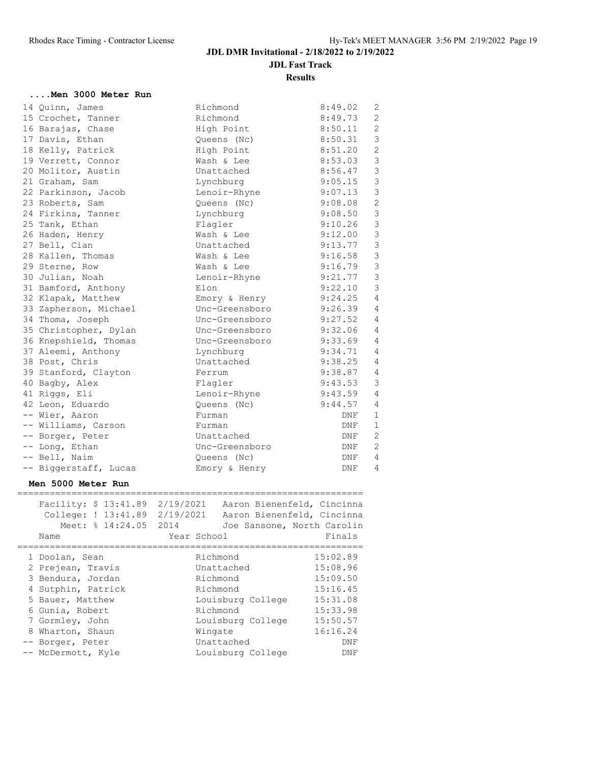**Results**

# **....Men 3000 Meter Run**

| 14 Quinn, James       | Richmond       | 8:49.02 | 2              |
|-----------------------|----------------|---------|----------------|
| 15 Crochet, Tanner    | Richmond       | 8:49.73 | 2              |
| 16 Barajas, Chase     | High Point     | 8:50.11 | 2              |
| 17 Davis, Ethan       | Queens (Nc)    | 8:50.31 | $\mathcal{E}$  |
| 18 Kelly, Patrick     | High Point     | 8:51.20 | $\mathbf{2}$   |
| 19 Verrett, Connor    | Wash & Lee     | 8:53.03 | $\mathfrak{Z}$ |
| 20 Molitor, Austin    | Unattached     | 8:56.47 | $\mathcal{S}$  |
| 21 Graham, Sam        | Lynchburg      | 9:05.15 | $\mathfrak{Z}$ |
| 22 Parkinson, Jacob   | Lenoir-Rhyne   | 9:07.13 | $\mathfrak{Z}$ |
| 23 Roberts, Sam       | Queens (Nc)    | 9:08.08 | $\overline{c}$ |
| 24 Firkins, Tanner    | Lynchburg      | 9:08.50 | $\mathfrak{Z}$ |
| 25 Tank, Ethan        | Flaqler        | 9:10.26 | $\mathfrak{Z}$ |
| 26 Haden, Henry       | Wash & Lee     | 9:12.00 | $\mathfrak{Z}$ |
| 27 Bell, Cian         | Unattached     | 9:13.77 | $\mathfrak{Z}$ |
| 28 Kallen, Thomas     | Wash & Lee     | 9:16.58 | $\mathfrak{Z}$ |
| 29 Sterne, Row        | Wash & Lee     | 9:16.79 | $\mathfrak{Z}$ |
| 30 Julian, Noah       | Lenoir-Rhyne   | 9:21.77 | $\mathcal{S}$  |
| 31 Bamford, Anthony   | Elon           | 9:22.10 | $\mathcal{E}$  |
| 32 Klapak, Matthew    | Emory & Henry  | 9:24.25 | $\overline{4}$ |
| 33 Zapherson, Michael | Unc-Greensboro | 9:26.39 | $\overline{4}$ |
| 34 Thoma, Joseph      | Unc-Greensboro | 9:27.52 | $\overline{4}$ |
| 35 Christopher, Dylan | Unc-Greensboro | 9:32.06 | $\overline{4}$ |
| 36 Knepshield, Thomas | Unc-Greensboro | 9:33.69 | $\overline{4}$ |
| 37 Aleemi, Anthony    | Lynchburg      | 9:34.71 | $\overline{4}$ |
| 38 Post, Chris        | Unattached     | 9:38.25 | $\overline{4}$ |
| 39 Stanford, Clayton  | Ferrum         | 9:38.87 | 4              |
| 40 Bagby, Alex        | Flagler        | 9:43.53 | $\mathcal{E}$  |
| 41 Riggs, Eli         | Lenoir-Rhyne   | 9:43.59 | $\overline{4}$ |
| 42 Leon, Eduardo      | Queens (Nc)    | 9:44.57 | $\overline{4}$ |
| -- Wier, Aaron        | Furman         | DNF     | $\mathbf{1}$   |
| -- Williams, Carson   | Furman         | DNF     | $\mathbf{1}$   |
| -- Borger, Peter      | Unattached     | DNF     | $\overline{2}$ |
| -- Long, Ethan        | Unc-Greensboro | DNF     | $\overline{2}$ |
| -- Bell, Naim         | Queens (Nc)    | DNF     | $\overline{4}$ |
| -- Biggerstaff, Lucas | Emory & Henry  | DNF     | $\overline{4}$ |

## **Men 5000 Meter Run**

| Facility: \$ 13:41.89<br>College: ! 13:41.89<br>Meet: % 14:24.05<br>Name                                                                 | 2/19/2021<br>2/19/2021<br>2014<br>Year School |                                                      | Aaron Bienenfeld, Cincinna<br>Aaron Bienenfeld, Cincinna<br>Joe Sansone, North Carolin<br>Finals |
|------------------------------------------------------------------------------------------------------------------------------------------|-----------------------------------------------|------------------------------------------------------|--------------------------------------------------------------------------------------------------|
| 1 Doolan, Sean<br>2 Prejean, Travis<br>3 Bendura, Jordan<br>4 Sutphin, Patrick<br>5 Bauer, Matthew<br>6 Gunia, Robert<br>7 Gormley, John | Richmond<br>Richmond<br>Richmond<br>Richmond  | Unattached<br>Louisburg College<br>Louisburg College | 15:02.89<br>15:08.96<br>15:09.50<br>15:16.45<br>15:31.08<br>15:33.98<br>15:50.57                 |
| 8 Wharton, Shaun<br>-- Borger, Peter                                                                                                     | Wingate                                       | Unattached                                           | 16:16.24<br>DNF                                                                                  |
| -- McDermott, Kyle                                                                                                                       |                                               | Louisburg College                                    | DNF                                                                                              |
|                                                                                                                                          |                                               |                                                      |                                                                                                  |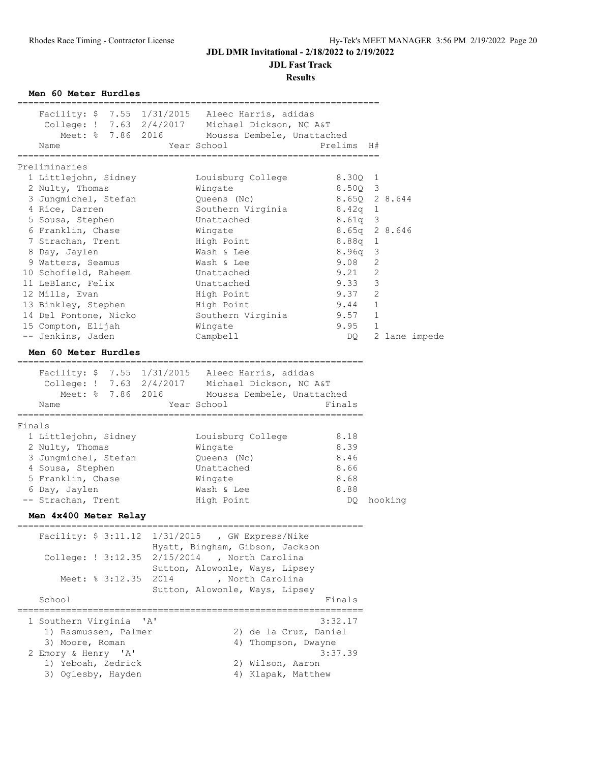**JDL Fast Track**

**Results**

**Men 60 Meter Hurdles**

|        | ==================                                                                                                                                                                                                                                                                                                                          |                           |                                                                                                                                                                                                                             |                                                                                                                                                                                                    |                                   |         |               |
|--------|---------------------------------------------------------------------------------------------------------------------------------------------------------------------------------------------------------------------------------------------------------------------------------------------------------------------------------------------|---------------------------|-----------------------------------------------------------------------------------------------------------------------------------------------------------------------------------------------------------------------------|----------------------------------------------------------------------------------------------------------------------------------------------------------------------------------------------------|-----------------------------------|---------|---------------|
|        | Name                                                                                                                                                                                                                                                                                                                                        | Year School               | Facility: \$ 7.55 1/31/2015 Aleec Harris, adidas<br>College: ! 7.63 2/4/2017 Michael Dickson, NC A&T<br>Meet: % 7.86 2016 Moussa Dembele, Unattached                                                                        | Prelims                                                                                                                                                                                            | H#                                |         |               |
|        |                                                                                                                                                                                                                                                                                                                                             |                           | ============                                                                                                                                                                                                                |                                                                                                                                                                                                    |                                   |         |               |
|        | Preliminaries<br>1 Littlejohn, Sidney<br>2 Nulty, Thomas<br>3 Jungmichel, Stefan<br>4 Rice, Darren<br>5 Sousa, Stephen<br>6 Franklin, Chase<br>7 Strachan, Trent<br>8 Day, Jaylen<br>9 Watters, Seamus<br>10 Schofield, Raheem<br>11 LeBlanc, Felix<br>12 Mills, Evan<br>13 Binkley, Stephen<br>14 Del Pontone, Nicko<br>15 Compton, Elijah |                           | Louisburg College<br>Wingate<br>Queens (Nc)<br>Southern Virginia<br>Unattached<br>Wingate<br>High Point<br>Wash & Lee<br>Wash & Lee<br>Unattached<br>Unattached<br>High Point<br>High Point<br>Southern Virginia<br>Wingate | 8.300 1<br>8.50Q 3<br>8.65Q 2 8.644<br>$8.42q$ 1<br>$8.61q$ 3<br>$8.65q$ 2 $8.646$<br>$8.88q$ 1<br>$8.96q$ 3<br>$9.08$ 2<br>9.21<br>9.33<br>9.37 2<br>$9.44 \quad 1$<br>$9.57 \frac{}{}$ 1<br>9.95 | 2<br>$\overline{\mathbf{3}}$<br>1 |         |               |
|        | -- Jenkins, Jaden                                                                                                                                                                                                                                                                                                                           |                           | Campbell                                                                                                                                                                                                                    | DQ                                                                                                                                                                                                 |                                   |         | 2 lane impede |
|        | Name<br>===========                                                                                                                                                                                                                                                                                                                         |                           | Facility: \$ 7.55 1/31/2015 Aleec Harris, adidas<br>College: ! 7.63 2/4/2017 Michael Dickson, NC A&T<br>Meet: % 7.86 2016 Moussa Dembele, Unattached<br>Year School                                                         | Finals                                                                                                                                                                                             |                                   |         |               |
| Finals | 1 Littlejohn, Sidney<br>2 Nulty, Thomas<br>3 Jungmichel, Stefan<br>4 Sousa, Stephen<br>5 Franklin, Chase<br>6 Day, Jaylen<br>-- Strachan, Trent<br>Men 4x400 Meter Relay                                                                                                                                                                    |                           | Louisburg College<br>Wingate<br>Queens (Nc)<br>Unattached<br>Wingate<br>Wash & Lee<br>High Point                                                                                                                            | 8.18<br>8.39<br>8.46<br>8.66<br>8.68<br>8.88<br>DQ.                                                                                                                                                |                                   | hooking |               |
|        | ==================================<br>Facility: \$ 3:11.12<br>College: ! 3:12.35<br>Meet: % 3:12.35<br>School                                                                                                                                                                                                                               | 2/15/2014<br>2014         | $1/31/2015$ , GW Express/Nike<br>Hyatt, Bingham, Gibson, Jackson<br>, North Carolina<br>Sutton, Alowonle, Ways, Lipsey<br>, North Carolina<br>Sutton, Alowonle, Ways, Lipsey                                                | Finals                                                                                                                                                                                             |                                   |         |               |
|        | 1 Southern Virginia<br>1) Rasmussen, Palmer<br>3) Moore, Roman<br>2 Emory & Henry 'A'<br>1) Yeboah, Zedrick<br>3) Oglesby, Hayden                                                                                                                                                                                                           | $^{\prime}$ A $^{\prime}$ | 2) de la Cruz, Daniel<br>4) Thompson, Dwayne<br>2) Wilson, Aaron<br>4) Klapak, Matthew                                                                                                                                      | 3:32.17<br>3:37.39                                                                                                                                                                                 |                                   |         |               |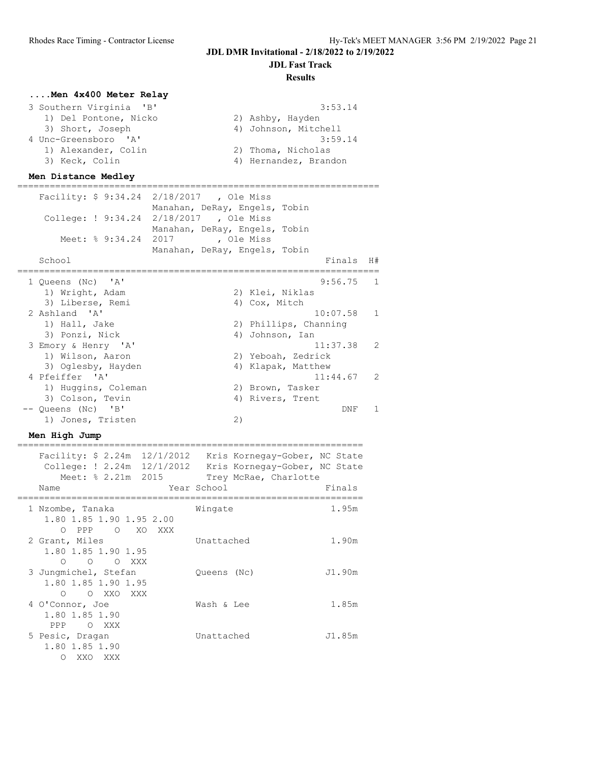**JDL Fast Track**

#### **Results**

| Men 4x400 Meter Relay   |                       |
|-------------------------|-----------------------|
| 3 Southern Virginia 'B' | 3:53.14               |
| 1) Del Pontone, Nicko   | 2) Ashby, Hayden      |
| 3) Short, Joseph        | 4) Johnson, Mitchell  |
| 4 Unc-Greensboro 'A'    | 3:59.14               |
| 1) Alexander, Colin     | 2) Thoma, Nicholas    |
| 3) Keck, Colin          | 4) Hernandez, Brandon |

#### **Men Distance Medley**

|                     | Facility: $$9:34.24$ $2/18/2017$ , Ole Miss<br>Manahan, DeRay, Engels, Tobin |   |
|---------------------|------------------------------------------------------------------------------|---|
|                     | College: ! 9:34.24 2/18/2017 , Ole Miss                                      |   |
|                     | Manahan, DeRay, Engels, Tobin                                                |   |
|                     | Meet: % 9:34.24 2017 , Ole Miss                                              |   |
|                     | Manahan, DeRay, Engels, Tobin                                                |   |
| School              | Finals H#                                                                    |   |
| 1 Oueens (Nc) 'A'   | $9:56.75$ 1                                                                  |   |
| 1) Wright, Adam     | 2) Klei, Niklas                                                              |   |
| 3) Liberse, Remi    | 4) Cox, Mitch                                                                |   |
| 2 Ashland 'A'       | $10:07.58$ 1                                                                 |   |
| 1) Hall, Jake       | 2) Phillips, Channing                                                        |   |
| 3) Ponzi, Nick      | 4) Johnson, Ian                                                              |   |
| 3 Emory & Henry 'A' | $11:37.38$ 2                                                                 |   |
| 1) Wilson, Aaron    | 2) Yeboah, Zedrick                                                           |   |
| 3) Oqlesby, Hayden  | 4) Klapak, Matthew                                                           |   |
| 4 Pfeiffer 'A'      | $11:44.67$ 2                                                                 |   |
| 1) Huggins, Coleman | 2) Brown, Tasker                                                             |   |
| 3) Colson, Tevin    | 4) Rivers, Trent                                                             |   |
| -- Queens (Nc) 'B'  | DNF                                                                          | 1 |
| 1) Jones, Tristen   | 2)                                                                           |   |

#### **Men High Jump**

================================================================ Facility: \$ 2.24m 12/1/2012 Kris Kornegay-Gober, NC State College: ! 2.24m 12/1/2012 Kris Kornegay-Gober, NC State Meet: % 2.21m 2015 Trey McRae, Charlotte Name Year School Finals ================================================================ 1 Nzombe, Tanaka  $\blacksquare$  Wingate 1.95m 1.80 1.85 1.90 1.95 2.00 O PPP O XO XXX<br>2 Grant, Miles Unattached 1.90m 1.80 1.85 1.90 1.95 O O O XXX 3 Jungmichel, Stefan Queens (Nc) J1.90m 1.80 1.85 1.90 1.95 O O XXO XXX<br>4 O'Connor, Joe a D'Connor, Joe (1.85m) Wash & Lee (1.85m) 1.85m<br>1.80 1.85 1.90 1.80 1.85 1.90 PPP O XXX 5 Pesic, Dragan Unattached J1.85m 1.80 1.85 1.90 O XXO XXX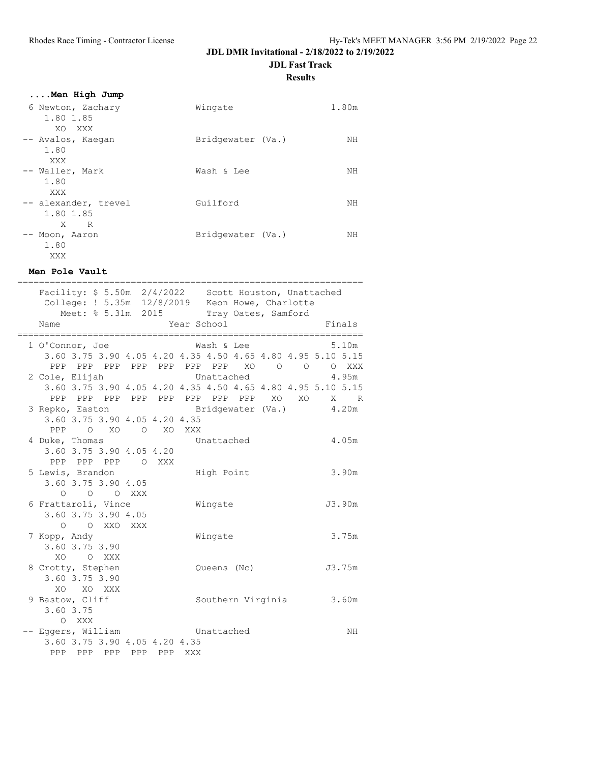**JDL Fast Track**

**Results**

|  |  |  |  | Men High Jump |  |
|--|--|--|--|---------------|--|
|--|--|--|--|---------------|--|

| 6 Newton, Zachary<br>1.80 1.85<br>XO XXX    | Wingate           | 1.80m |
|---------------------------------------------|-------------------|-------|
| -- Avalos, Kaegan<br>1.80<br>XXX            | Bridgewater (Va.) | NΗ    |
| -- Waller, Mark<br>1.80<br>XXX              | Wash & Lee        | ΝH    |
| -- alexander, trevel<br>1.80 1.85<br>X<br>R | Guilford          | NΗ    |
| -- Moon, Aaron<br>1.80<br>XXX               | Bridgewater (Va.) | NΗ    |

#### **Men Pole Vault**

| Facility: \$ 5.50m  2/4/2022  Scott Houston, Unattached                                   |  |             |            |             |                         |        |
|-------------------------------------------------------------------------------------------|--|-------------|------------|-------------|-------------------------|--------|
| College: ! 5.35m 12/8/2019 Keon Howe, Charlotte<br>Meet: % 5.31m 2015 Tray Oates, Samford |  |             |            |             |                         |        |
| Name                                                                                      |  | Year School |            |             |                         | Finals |
| 1 O'Connor, Joe                                                                           |  | Wash & Lee  |            |             |                         | 5.10m  |
| 3.60 3.75 3.90 4.05 4.20 4.35 4.50 4.65 4.80 4.95 5.10 5.15                               |  |             |            |             |                         |        |
| PPP PPP PPP PPP PPP PPP PPP XO O O O XXX                                                  |  |             |            |             |                         |        |
| 2 Cole, Elijah                                                                            |  | Unattached  |            |             | 4.95m                   |        |
| 3.60 3.75 3.90 4.05 4.20 4.35 4.50 4.65 4.80 4.95 5.10 5.15                               |  |             |            |             |                         |        |
| PPP PPP PPP PPP PPP PPP PPP PPP XO XO X R                                                 |  |             |            |             |                         |        |
| 3 Repko, Easton Bridgewater (Va.) 4.20m                                                   |  |             |            |             |                         |        |
| 3.60 3.75 3.90 4.05 4.20 4.35                                                             |  |             |            |             |                         |        |
| PPP O XO O XO XXX                                                                         |  |             |            |             |                         |        |
| 4 Duke, Thomas                                                                            |  |             | Unattached |             | 4.05m                   |        |
| 3.60 3.75 3.90 4.05 4.20                                                                  |  |             |            |             |                         |        |
| PPP PPP PPP O XXX                                                                         |  |             |            |             |                         |        |
| 5 Lewis, Brandon                                                                          |  | High Point  |            |             | 3.90m                   |        |
| 3.60 3.75 3.90 4.05                                                                       |  |             |            |             |                         |        |
| O O O XXX                                                                                 |  |             |            |             |                         |        |
| 6 Frattaroli, Vince                                                                       |  |             | Wingate    |             |                         | J3.90m |
| 3.60 3.75 3.90 4.05                                                                       |  |             |            |             |                         |        |
| O O XXO XXX                                                                               |  |             |            |             |                         |        |
| 7 Kopp, Andy<br>3.60 3.75 3.90                                                            |  |             | Wingate    |             | 3.75m                   |        |
| XO O XXX                                                                                  |  |             |            |             |                         |        |
| 8 Crotty, Stephen                                                                         |  |             |            | Queens (Nc) |                         | J3.75m |
| 3.60 3.75 3.90                                                                            |  |             |            |             |                         |        |
| XO XO XXX                                                                                 |  |             |            |             |                         |        |
| 9 Bastow, Cliff                                                                           |  |             |            |             | Southern Virginia 3.60m |        |
| 3.60 3.75                                                                                 |  |             |            |             |                         |        |
| O XXX                                                                                     |  |             |            |             |                         |        |
| -- Eggers, William Chattached                                                             |  |             |            |             |                         | ΝH     |
| 3.60 3.75 3.90 4.05 4.20 4.35                                                             |  |             |            |             |                         |        |
| PPP PPP PPP PPP PPP XXX                                                                   |  |             |            |             |                         |        |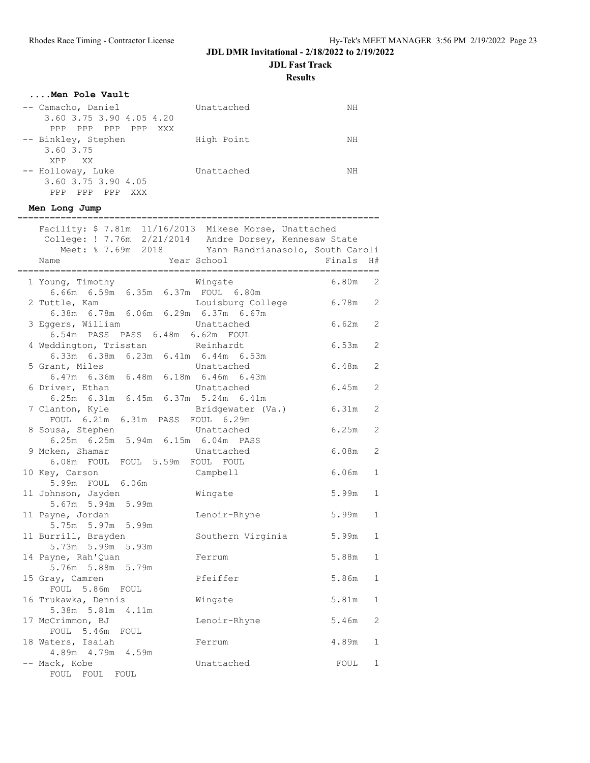**JDL Fast Track**

#### **Results**

| Men Pole Vault                                                            |                   |        |              |
|---------------------------------------------------------------------------|-------------------|--------|--------------|
| -- Camacho, Daniel                                                        | Unattached        | NΗ     |              |
| 3.60 3.75 3.90 4.05 4.20                                                  |                   |        |              |
| PPP PPP PPP PPP XXX                                                       |                   |        |              |
| -- Binkley, Stephen                                                       | High Point        | NH     |              |
| 3.60 3.75<br>XPP XX                                                       |                   |        |              |
| -- Holloway, Luke                                                         | Unattached        | NH     |              |
| 3.60 3.75 3.90 4.05                                                       |                   |        |              |
| PPP PPP PPP XXX                                                           |                   |        |              |
| Men Long Jump                                                             |                   |        |              |
|                                                                           |                   |        |              |
| Facility: \$ 7.81m 11/16/2013 Mikese Morse, Unattached                    |                   |        |              |
| College: ! 7.76m 2/21/2014 Andre Dorsey, Kennesaw State                   |                   |        |              |
| Meet: % 7.69m 2018 Yann Randrianasolo, South Caroli                       |                   |        |              |
| Year School<br>Name                                                       |                   | Finals | H#           |
| 1 Young, Timothy                                                          | Wingate           | 6.80m  | 2            |
| 6.66m 6.59m 6.35m 6.37m FOUL 6.80m                                        |                   |        |              |
| 2 Tuttle, Kam                                                             | Louisburg College | 6.78m  | 2            |
| 6.38m 6.78m 6.06m 6.29m 6.37m 6.67m                                       |                   |        |              |
| 3 Eggers, William                                                         | Unattached        | 6.62m  | 2            |
| 6.54m PASS PASS 6.48m 6.62m FOUL                                          |                   |        |              |
| 4 Weddington, Trisstan a Reinhardt<br>6.33m 6.38m 6.23m 6.41m 6.44m 6.53m |                   | 6.53m  | 2            |
|                                                                           |                   |        |              |
| 5 Grant, Miles<br>6.47m 6.36m 6.48m 6.18m 6.46m 6.43m                     | Unattached        | 6.48m  | 2            |
| 6 Driver, Ethan                                                           | Unattached        | 6.45m  | 2            |
| 6.25m 6.31m 6.45m 6.37m 5.24m 6.41m                                       |                   |        |              |
| 7 Clanton, Kyle                                                           | Bridgewater (Va.) | 6.31m  | 2            |
| FOUL 6.21m 6.31m PASS FOUL 6.29m                                          |                   |        |              |
| 8 Sousa, Stephen                                                          | Unattached        | 6.25m  | 2            |
| 6.25m 6.25m 5.94m 6.15m 6.04m PASS                                        |                   |        |              |
| 9 Mcken, Shamar                                                           | Unattached        | 6.08m  | 2            |
| 6.08m FOUL FOUL 5.59m FOUL FOUL                                           |                   |        |              |
| 10 Key, Carson<br>5.99m FOUL 6.06m                                        | Campbell          | 6.06m  | 1            |
| 11 Johnson, Jayden                                                        | Wingate           | 5.99m  | 1            |
| 5.67m 5.94m 5.99m                                                         |                   |        |              |
| 11 Payne, Jordan                                                          | Lenoir-Rhyne      | 5.99m  | $\mathbf{1}$ |
| 5.75m 5.97m 5.99m                                                         |                   |        |              |
| 11 Burrill, Brayden                                                       | Southern Virginia | 5.99m  | $\mathbf{1}$ |
| 5.73m 5.99m 5.93m                                                         |                   |        |              |
| 14 Payne, Rah'Quan                                                        | Ferrum            | 5.88m  | 1            |
| 5.76m 5.88m 5.79m                                                         |                   |        |              |
| 15 Gray, Camren<br>FOUL 5.86m FOUL                                        | Pfeiffer          | 5.86m  | $\mathbf 1$  |
| 16 Trukawka, Dennis                                                       | Wingate           | 5.81m  | 1            |
| 5.38m 5.81m 4.11m                                                         |                   |        |              |
| 17 McCrimmon, BJ                                                          | Lenoir-Rhyne      | 5.46m  | 2            |
| FOUL 5.46m FOUL                                                           |                   |        |              |
| 18 Waters, Isaiah                                                         | Ferrum            | 4.89m  | 1            |
| 4.89m  4.79m  4.59m                                                       |                   |        |              |
| -- Mack, Kobe                                                             | Unattached        | FOUL   | 1            |
| FOUL FOUL FOUL                                                            |                   |        |              |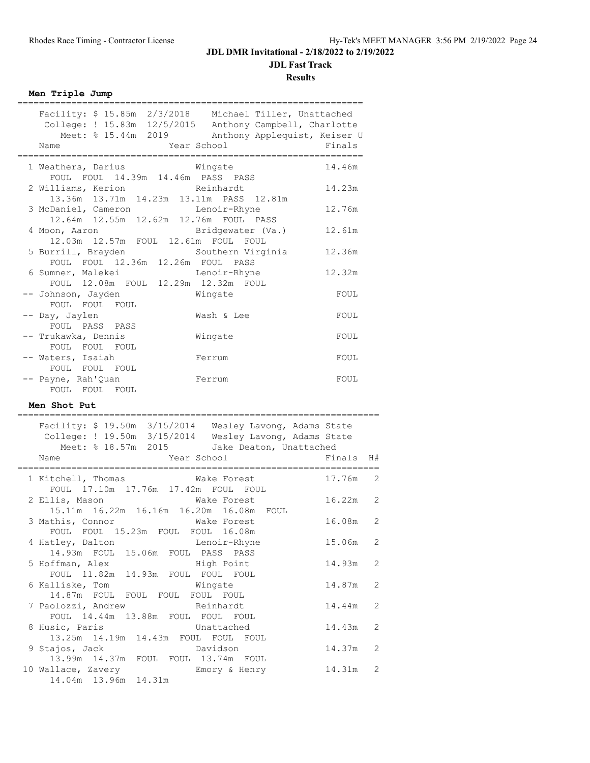#### **JDL Fast Track**

**Results**

**Men Triple Jump**

| Facility: \$ 15.85m  2/3/2018  Michael Tiller, Unattached<br>College: ! 15.83m  12/5/2015  Anthony Campbell, Charlotte |                    |        |
|------------------------------------------------------------------------------------------------------------------------|--------------------|--------|
| Meet: % 15.44m 2019 Anthony Applequist, Keiser U<br>Name                                                               | Year School Finals |        |
| 1 Weathers, Darius Mingate<br>FOUL FOUL 14.39m 14.46m PASS PASS                                                        |                    | 14.46m |
| 2 Williams, Kerion and Reinhardt<br>13.36m 13.71m 14.23m 13.11m PASS 12.81m                                            |                    | 14.23m |
| 3 McDaniel, Cameron Lenoir-Rhyne<br>12.64m  12.55m  12.62m  12.76m  FOUL  PASS                                         |                    | 12.76m |
| 4 Moon, Aaron Bridgewater (Va.) 12.61m<br>12.03m  12.57m  FOUL  12.61m  FOUL  FOUL                                     |                    |        |
| 5 Burrill, Brayden Southern Virginia<br>FOUL FOUL 12.36m 12.26m FOUL PASS                                              |                    | 12.36m |
| 6 Sumner, Malekei<br>FOUL 12.08m FOUL 12.29m 12.32m FOUL                                                               | Lenoir-Rhyne       | 12.32m |
| -- Johnson, Jayden<br>FOUL FOUL FOUL                                                                                   | Wingate            | FOUL   |
| -- Day, Jaylen<br>FOUL PASS PASS                                                                                       | Wash & Lee         | FOUL   |
| -- Trukawka, Dennis<br>FOUL FOUL FOUL                                                                                  | Wingate            | FOUL   |
| -- Waters, Isaiah<br>FOUL FOUL FOUL                                                                                    | Ferrum             | FOUL   |
| -- Payne, Rah'Quan<br>FOUL FOUL FOUL                                                                                   | Ferrum             | FOUL   |

#### **Men Shot Put**

=================================================================== Facility: \$ 19.50m 3/15/2014 Wesley Lavong, Adams State College: ! 19.50m 3/15/2014 Wesley Lavong, Adams State Meet: % 18.57m 2015 Jake Deaton, Unattached Name Year School Finals H# =================================================================== 1 Kitchell, Thomas Wake Forest FOUL 17.10m 17.76m 17.42m FOUL FOUL<br>11is, Mason Make Forest 2 Ellis, Mason Make Forest 16.22m 2 15.11m 16.22m 16.16m 16.20m 16.08m FOUL 3 Mathis, Connor **Wake Forest** 16.08m 2 FOUL FOUL 15.23m FOUL FOUL 16.08m 4 Hatley, Dalton Lenoir-Rhyne 15.06m 2 14.93m FOUL 15.06m FOUL PASS PASS 5 Hoffman, Alex High Point 14.93m 2 FOUL 11.82m 14.93m FOUL FOUL FOUL 6 Kalliske, Tom Wingate 14.87m 2 14.87m FOUL FOUL FOUL FOUL FOUL 7 Paolozzi, Andrew Reinhardt 14.44m 2 FOUL 14.44m 13.88m FOUL FOUL FOUL 8 Husic, Paris Unattached 14.43m 2 13.25m 14.19m 14.43m FOUL FOUL FOUL 9 Stajos, Jack Davidson 14.37m 2 13.99m 14.37m FOUL FOUL 13.74m FOUL 10 Wallace, Zavery Emory & Henry 14.31m 2 14.04m 13.96m 14.31m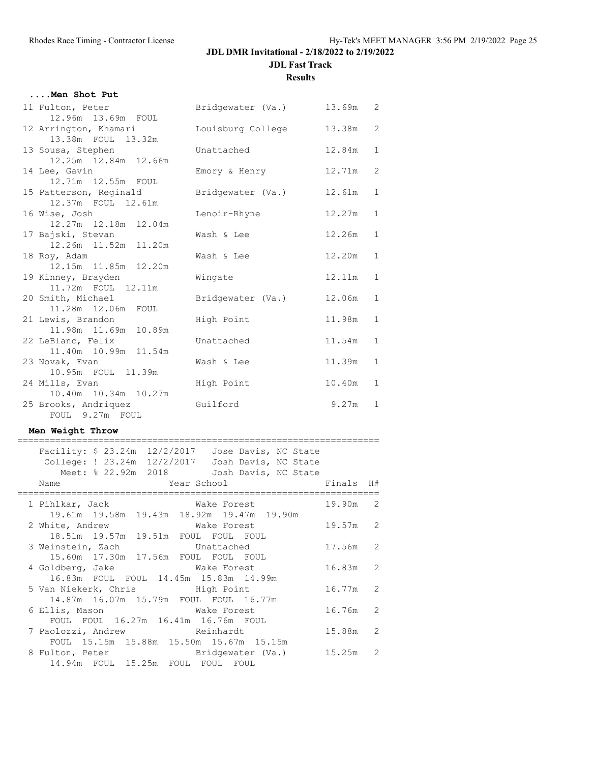**Results**

#### **....Men Shot Put**

| 11 Fulton, Peter                       | Bridgewater (Va.) | 13.69m | 2              |
|----------------------------------------|-------------------|--------|----------------|
| 12.96m 13.69m FOUL                     |                   |        |                |
| 12 Arrington, Khamari                  | Louisburg College | 13.38m | $\mathbf{2}$   |
| 13.38m FOUL 13.32m                     |                   |        |                |
| 13 Sousa, Stephen                      | Unattached        | 12.84m | $\mathbf{1}$   |
| 12.25m  12.84m  12.66m                 |                   |        |                |
| 14 Lee, Gavin                          | Emory & Henry     | 12.71m | $\mathbf{2}$   |
| 12.71m  12.55m  FOUL                   |                   |        |                |
| 15 Patterson, Reginald                 | Bridgewater (Va.) | 12.61m | $\mathbf{1}$   |
| 12.37m FOUL 12.61m                     |                   |        |                |
| 16 Wise, Josh                          | Lenoir-Rhyne      | 12.27m | $\mathbf{1}$   |
| 12.27m 12.18m 12.04m                   |                   |        |                |
| 17 Bajski, Stevan                      | Wash & Lee        | 12.26m | $\mathbf{1}$   |
| 12.26m  11.52m  11.20m                 |                   |        | $\mathbf 1$    |
| 18 Roy, Adam<br>12.15m  11.85m  12.20m | Wash & Lee        | 12.20m |                |
| 19 Kinney, Brayden                     | Wingate           | 12.11m | $\mathbf{1}$   |
| 11.72m FOUL 12.11m                     |                   |        |                |
| 20 Smith, Michael                      | Bridgewater (Va.) | 12.06m | $\mathbf{1}$   |
| 11.28m 12.06m FOUL                     |                   |        |                |
| 21 Lewis, Brandon                      | High Point        | 11.98m | $\mathbf{1}$   |
| 11.98m 11.69m 10.89m                   |                   |        |                |
| 22 LeBlanc, Felix                      | Unattached        | 11.54m | $\mathbf{1}$   |
| 11.40m 10.99m 11.54m                   |                   |        |                |
| 23 Novak, Evan                         | Wash & Lee        | 11.39m | $\mathbf{1}$   |
| 10.95m FOUL 11.39m                     |                   |        |                |
| 24 Mills, Evan                         | High Point        | 10.40m | $\mathbf{1}$   |
| 10.40m  10.34m  10.27m                 |                   |        |                |
| 25 Brooks, Andriquez                   | Guilford          | 9.27m  | $\overline{1}$ |
| FOUL 9.27m FOUL                        |                   |        |                |

#### **Men Weight Throw**

 Facility: \$ 23.24m 12/2/2017 Jose Davis, NC State College: ! 23.24m 12/2/2017 Josh Davis, NC State Meet: % 22.92m 2018 Josh Davis, NC State Name  $Year School$  Finals H# =================================================================== 1 Pihlkar, Jack Wake Forest 19.90m 2 19.61m 19.58m 19.43m 18.92m 19.47m 19.90m 2 White, Andrew **Wake Forest** 19.57m 2 18.51m 19.57m 19.51m FOUL FOUL FOUL 3 Weinstein, Zach Unattached 17.56m 2 15.60m 17.30m 17.56m FOUL FOUL FOUL 4 Goldberg, Jake Wake Forest 16.83m 2 16.83m FOUL FOUL 14.45m 15.83m 14.99m 5 Van Niekerk, Chris High Point 16.77m 2 14.87m 16.07m 15.79m FOUL FOUL 16.77m<br>lis, Mason Make Forest 6 Ellis, Mason Wake Forest 16.76m 2 FOUL FOUL 16.27m 16.41m 16.76m FOUL 7 Paolozzi, Andrew Reinhardt 15.88m 2 FOUL 15.15m 15.88m 15.50m 15.67m 15.15m 8 Fulton, Peter **Bridgewater (Va.)** 15.25m 2 14.94m FOUL 15.25m FOUL FOUL FOUL

===================================================================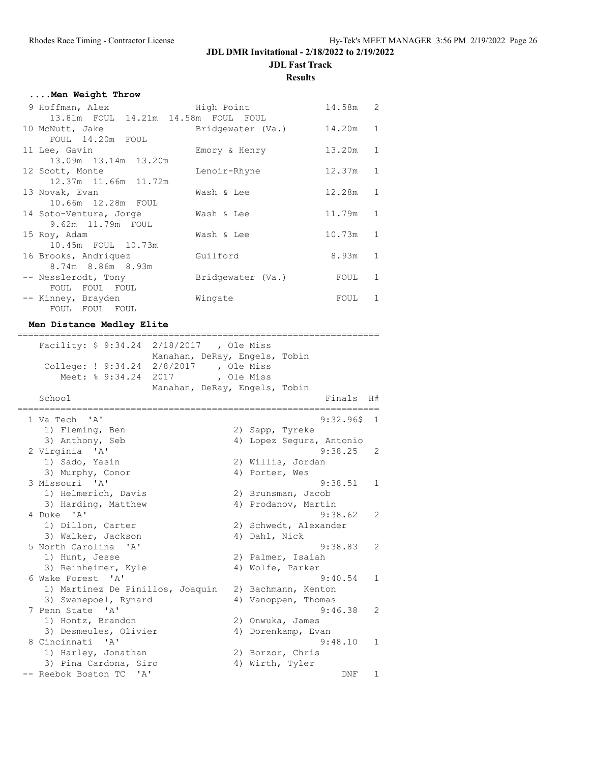**Results**

# **....Men Weight Throw**

| 9 Hoffman, Alex                     | High Point        | 14.58m | 2            |
|-------------------------------------|-------------------|--------|--------------|
| 13.81m FOUL 14.21m 14.58m FOUL FOUL |                   |        |              |
| 10 McNutt, Jake                     | Bridgewater (Va.) | 14.20m | 1            |
| FOUL 14.20m FOUL                    |                   |        |              |
| 11 Lee, Gavin                       | Emory & Henry     | 13.20m | 1            |
| 13.09m 13.14m 13.20m                |                   |        |              |
| 12 Scott, Monte                     | Lenoir-Rhyne      | 12.37m | 1            |
| 12.37m 11.66m 11.72m                |                   |        |              |
| 13 Novak, Evan                      | Wash & Lee        | 12.28m | $\mathbf{1}$ |
| 10.66m 12.28m FOUL                  |                   |        |              |
| 14 Soto-Ventura, Jorge              | Wash & Lee        | 11.79m | 1            |
| 9.62m 11.79m FOUL                   |                   |        |              |
| 15 Roy, Adam                        | Wash & Lee        | 10.73m | $\mathbf{1}$ |
| 10.45m FOUL 10.73m                  |                   |        |              |
| 16 Brooks, Andriquez                | Guilford          | 8.93m  | 1            |
| 8.74m 8.86m 8.93m                   |                   |        |              |
| -- Nesslerodt, Tony                 | Bridgewater (Va.) | FOUL   | 1            |
| FOUL FOUL<br>FOUL                   |                   |        |              |
| -- Kinney, Brayden                  | Wingate           | FOUL   | 1            |
| FOUL FOUL FOUL                      |                   |        |              |

## **Men Distance Medley Elite**

| Facility: $$9:34.24$ $2/18/2017$ , Ole Miss |                               |  |                       |                          |                |
|---------------------------------------------|-------------------------------|--|-----------------------|--------------------------|----------------|
|                                             | Manahan, DeRay, Engels, Tobin |  |                       |                          |                |
| College: ! 9:34.24 2/8/2017 , Ole Miss      |                               |  |                       |                          |                |
| Meet: % 9:34.24 2017                        |                               |  | , Ole Miss            |                          |                |
|                                             | Manahan, DeRay, Engels, Tobin |  |                       |                          |                |
| School                                      |                               |  |                       | Finals                   |                |
|                                             |                               |  |                       |                          | H#             |
| 1 Va Tech 'A'                               |                               |  |                       | 9:32.965                 | $\overline{1}$ |
| 1) Fleming, Ben                             |                               |  | 2) Sapp, Tyreke       |                          |                |
| 3) Anthony, Seb                             |                               |  |                       | 4) Lopez Segura, Antonio |                |
| 2 Virginia 'A'                              |                               |  |                       | $9:38.25$ 2              |                |
| 1) Sado, Yasin                              |                               |  | 2) Willis, Jordan     |                          |                |
| 3) Murphy, Conor                            |                               |  | 4) Porter, Wes        |                          |                |
| 3 Missouri 'A'                              |                               |  |                       | 9:38.51                  | $\mathbf{1}$   |
| 1) Helmerich, Davis                         |                               |  | 2) Brunsman, Jacob    |                          |                |
| 3) Harding, Matthew                         |                               |  | 4) Prodanov, Martin   |                          |                |
| 4 Duke 'A'                                  |                               |  |                       | 9:38.62                  | $\overline{2}$ |
| 1) Dillon, Carter                           |                               |  | 2) Schwedt, Alexander |                          |                |
| 3) Walker, Jackson                          |                               |  | 4) Dahl, Nick         |                          |                |
| 5 North Carolina 'A'                        |                               |  |                       | 9:38.83                  | 2              |
| 1) Hunt, Jesse                              |                               |  | 2) Palmer, Isaiah     |                          |                |
| 3) Reinheimer, Kyle                         |                               |  | 4) Wolfe, Parker      |                          |                |
| 6 Wake Forest. 'A'                          |                               |  |                       | 9:40.54                  | $\mathbf{1}$   |
| 1) Martinez De Pinillos, Joaquin            |                               |  |                       |                          |                |
|                                             |                               |  | 2) Bachmann, Kenton   |                          |                |
| 3) Swanepoel, Rynard<br>7 Penn State 'A'    |                               |  | 4) Vanoppen, Thomas   | 9:46.38                  | $\overline{2}$ |
|                                             |                               |  |                       |                          |                |
| 1) Hontz, Brandon                           |                               |  | 2) Onwuka, James      |                          |                |
| 3) Desmeules, Olivier                       |                               |  | 4) Dorenkamp, Evan    |                          |                |
| 8 Cincinnati 'A'                            |                               |  |                       | 9:48.10                  | $\mathbf{1}$   |
| 1) Harley, Jonathan                         |                               |  | 2) Borzor, Chris      |                          |                |
| 3) Pina Cardona, Siro                       |                               |  | 4) Wirth, Tyler       |                          |                |
| -- Reebok Boston TC 'A'                     |                               |  |                       | DNF                      | $\mathbf 1$    |